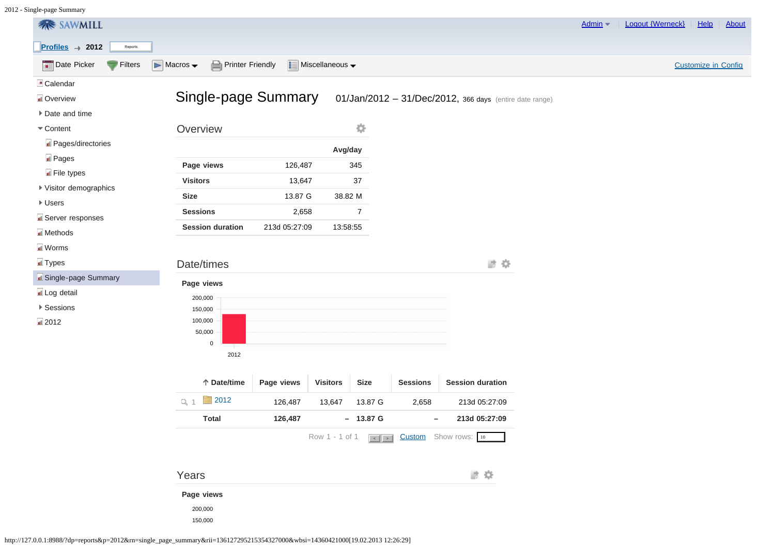| <b>养 SAWMILL</b>                         |                                                                   |               |                                                           |                               |                   |                                                         | Admin $\blacktriangledown$ | Logout {Werneck} | Help<br><b>About</b>       |
|------------------------------------------|-------------------------------------------------------------------|---------------|-----------------------------------------------------------|-------------------------------|-------------------|---------------------------------------------------------|----------------------------|------------------|----------------------------|
| $Profiles \rightarrow 2012$<br>Reports   |                                                                   |               |                                                           |                               |                   |                                                         |                            |                  |                            |
| <b>Date Picker</b><br>Filters            | Printer Friendly<br>$\triangleright$ Macros $\blacktriangleright$ |               | $\boxed{\frac{1}{2}}$ Miscellaneous $\blacktriangleright$ |                               |                   |                                                         |                            |                  | <b>Customize in Config</b> |
| Calendar                                 |                                                                   |               |                                                           |                               |                   |                                                         |                            |                  |                            |
| dl Overview                              | <b>Single-page Summary</b>                                        |               |                                                           |                               |                   | 01/Jan/2012 - 31/Dec/2012, 366 days (entire date range) |                            |                  |                            |
| ▶ Date and time                          |                                                                   |               |                                                           |                               |                   |                                                         |                            |                  |                            |
| $\blacktriangledown$ Content             | Overview                                                          |               |                                                           | 亞                             |                   |                                                         |                            |                  |                            |
| Pages/directories                        |                                                                   |               | Avg/day                                                   |                               |                   |                                                         |                            |                  |                            |
| <b>n</b> Pages                           | Page views                                                        | 126,487       |                                                           | 345                           |                   |                                                         |                            |                  |                            |
| <b>I</b> File types                      | <b>Visitors</b>                                                   | 13,647        |                                                           | $37\,$                        |                   |                                                         |                            |                  |                            |
| ▶ Visitor demographics                   | <b>Size</b>                                                       | 13.87 G       | 38.82 M                                                   |                               |                   |                                                         |                            |                  |                            |
| <b>▶ Users</b>                           | <b>Sessions</b>                                                   | 2,658         |                                                           | $\boldsymbol{7}$              |                   |                                                         |                            |                  |                            |
| <b>R</b> Server responses<br>Ill Methods | <b>Session duration</b>                                           | 213d 05:27:09 | 13:58:55                                                  |                               |                   |                                                         |                            |                  |                            |
| I Worms                                  |                                                                   |               |                                                           |                               |                   |                                                         |                            |                  |                            |
| <b>Types</b>                             | Date/times                                                        |               |                                                           |                               |                   | 診察                                                      |                            |                  |                            |
| I Single-page Summary                    |                                                                   |               |                                                           |                               |                   |                                                         |                            |                  |                            |
| I Log detail                             | Page views<br>200,000                                             |               |                                                           |                               |                   |                                                         |                            |                  |                            |
| <b>▶ Sessions</b>                        | 150,000                                                           |               |                                                           |                               |                   |                                                         |                            |                  |                            |
| $\Box$ 2012                              | 100,000                                                           |               |                                                           |                               |                   |                                                         |                            |                  |                            |
|                                          | 50,000<br>$\,0\,$                                                 |               |                                                           |                               |                   |                                                         |                            |                  |                            |
|                                          | 2012                                                              |               |                                                           |                               |                   |                                                         |                            |                  |                            |
|                                          | ↑ Date/time                                                       | Page views    | <b>Visitors</b>                                           | <b>Size</b>                   | <b>Sessions</b>   | <b>Session duration</b>                                 |                            |                  |                            |
|                                          | $\Box$ 2012<br>$Q_1$ 1                                            | 126,487       | 13,647                                                    | 13.87 G                       | 2,658             | 213d 05:27:09                                           |                            |                  |                            |
|                                          | <b>Total</b>                                                      | 126,487       |                                                           | $- 13.87 \text{ G}$           | $\qquad \qquad -$ | 213d 05:27:09                                           |                            |                  |                            |
|                                          |                                                                   |               |                                                           |                               |                   |                                                         |                            |                  |                            |
|                                          |                                                                   |               | Row 1 - 1 of 1                                            | $\vert \cdot \vert$ > $\vert$ |                   | <b>Custom</b> Show rows: 10                             |                            |                  |                            |
|                                          |                                                                   |               |                                                           |                               |                   |                                                         |                            |                  |                            |
|                                          | Years                                                             |               |                                                           |                               |                   | 診察                                                      |                            |                  |                            |
|                                          | Page views                                                        |               |                                                           |                               |                   |                                                         |                            |                  |                            |
|                                          | 200,000                                                           |               |                                                           |                               |                   |                                                         |                            |                  |                            |
|                                          | 150,000                                                           |               |                                                           |                               |                   |                                                         |                            |                  |                            |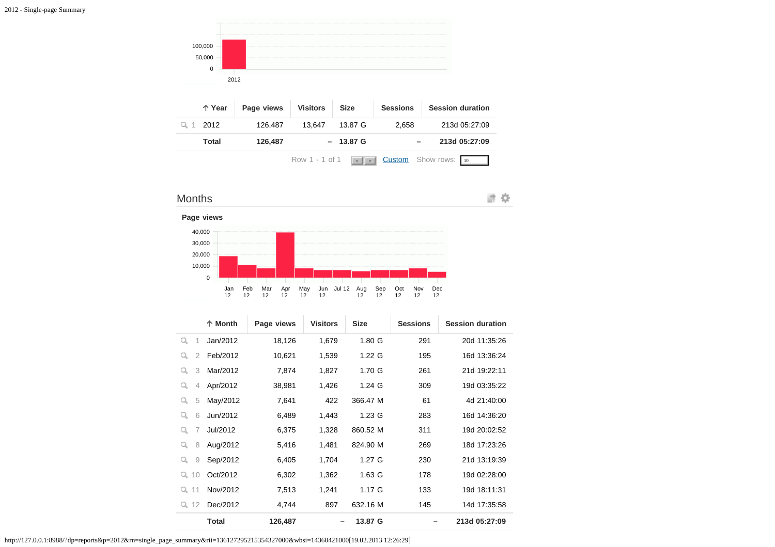

| ↑ Year | Page views | <b>Visitors</b>           | <b>Size</b>        | <b>Sessions</b> | <b>Session duration</b>     |
|--------|------------|---------------------------|--------------------|-----------------|-----------------------------|
| 2012   | 126.487    | 13.647                    | 13.87 G            | 2.658           | 213d 05:27:09               |
| Total  | 126,487    |                           | $-13.87 \text{ G}$ |                 | 213d 05:27:09               |
|        |            | Row 1 - 1 of 1 $\sqrt{s}$ |                    |                 | <b>Custom</b> Show rows: 10 |







|                     | ↑ Month      | Page views | <b>Visitors</b> | <b>Size</b>       | <b>Sessions</b> | <b>Session duration</b> |
|---------------------|--------------|------------|-----------------|-------------------|-----------------|-------------------------|
| Q<br>1              | Jan/2012     | 18,126     | 1,679           | 1.80 <sub>G</sub> | 291             | 20d 11:35:26            |
| $\overline{2}$<br>Q | Feb/2012     | 10,621     | 1,539           | $1.22 \text{ G}$  | 195             | 16d 13:36:24            |
| 3<br>Q              | Mar/2012     | 7,874      | 1,827           | 1.70 <sub>G</sub> | 261             | 21d 19:22:11            |
| q<br>4              | Apr/2012     | 38,981     | 1,426           | $1.24$ G          | 309             | 19d 03:35:22            |
| 5<br>q              | May/2012     | 7,641      | 422             | 366.47 M          | 61              | 4d 21:40:00             |
| q<br>6              | Jun/2012     | 6,489      | 1,443           | $1.23$ G          | 283             | 16d 14:36:20            |
| Q<br>7              | Jul/2012     | 6,375      | 1,328           | 860.52 M          | 311             | 19d 20:02:52            |
| 8<br>q              | Aug/2012     | 5,416      | 1,481           | 824.90 M          | 269             | 18d 17:23:26            |
| q<br>9              | Sep/2012     | 6,405      | 1,704           | $1.27$ G          | 230             | 21d 13:19:39            |
| 10<br>Q             | Oct/2012     | 6,302      | 1,362           | 1.63 G            | 178             | 19d 02:28:00            |
| Q.<br>11            | Nov/2012     | 7,513      | 1,241           | 1.17G             | 133             | 19d 18:11:31            |
| 12<br>Q.            | Dec/2012     | 4,744      | 897             | 632.16 M          | 145             | 14d 17:35:58            |
|                     | <b>Total</b> | 126,487    |                 | 13.87 G           |                 | 213d 05:27:09           |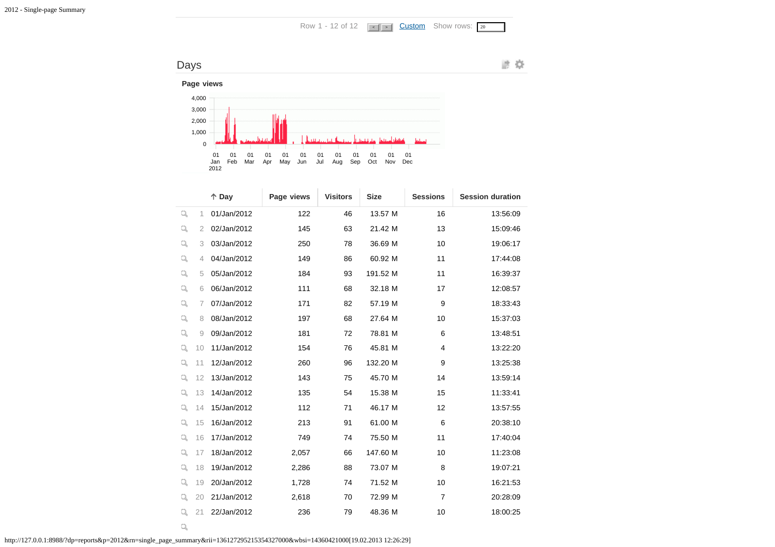Row 1 - 12 of 12  $\sqrt{\sqrt{1-1} \cdot \sqrt{1-1}}$  [Custom](javascript:;) Show rows:  $\sqrt{20}$ 



|   |    | $\uparrow$ Day | Page views | <b>Visitors</b> | <b>Size</b> | <b>Sessions</b> | <b>Session duration</b> |
|---|----|----------------|------------|-----------------|-------------|-----------------|-------------------------|
| q | 1  | 01/Jan/2012    | 122        | 46              | 13.57 M     | 16              | 13:56:09                |
| q | 2  | 02/Jan/2012    | 145        | 63              | 21.42 M     | 13              | 15:09:46                |
| Q | 3  | 03/Jan/2012    | 250        | 78              | 36.69 M     | 10              | 19:06:17                |
| q | 4  | 04/Jan/2012    | 149        | 86              | 60.92 M     | 11              | 17:44:08                |
| q | 5  | 05/Jan/2012    | 184        | 93              | 191.52 M    | 11              | 16:39:37                |
| Q | 6  | 06/Jan/2012    | 111        | 68              | 32.18 M     | 17              | 12:08:57                |
| Q | 7  | 07/Jan/2012    | 171        | 82              | 57.19 M     | 9               | 18:33:43                |
| Q | 8  | 08/Jan/2012    | 197        | 68              | 27.64 M     | 10              | 15:37:03                |
| Q | 9  | 09/Jan/2012    | 181        | 72              | 78.81 M     | 6               | 13:48:51                |
| Q | 10 | 11/Jan/2012    | 154        | 76              | 45.81 M     | 4               | 13:22:20                |
| Q | 11 | 12/Jan/2012    | 260        | 96              | 132.20 M    | 9               | 13:25:38                |
| q | 12 | 13/Jan/2012    | 143        | 75              | 45.70 M     | 14              | 13:59:14                |
| Q | 13 | 14/Jan/2012    | 135        | 54              | 15.38 M     | 15              | 11:33:41                |
| Q | 14 | 15/Jan/2012    | 112        | 71              | 46.17 M     | 12              | 13:57:55                |
| q | 15 | 16/Jan/2012    | 213        | 91              | 61.00 M     | 6               | 20:38:10                |
| Q | 16 | 17/Jan/2012    | 749        | 74              | 75.50 M     | 11              | 17:40:04                |
| Q | 17 | 18/Jan/2012    | 2,057      | 66              | 147.60 M    | 10              | 11:23:08                |
| Q | 18 | 19/Jan/2012    | 2,286      | 88              | 73.07 M     | 8               | 19:07:21                |
| Q | 19 | 20/Jan/2012    | 1,728      | 74              | 71.52 M     | 10              | 16:21:53                |
| Q | 20 | 21/Jan/2012    | 2,618      | 70              | 72.99 M     | $\overline{7}$  | 20:28:09                |
| q | 21 | 22/Jan/2012    | 236        | 79              | 48.36 M     | 10              | 18:00:25                |

http://127.0.0.1:8988/?dp=reports&p=2012&rn=single\_page\_summary&rii=136127295215354327000&wbsi=14360421000[19.02.2013 12:26:29]

 $\mathbb{Q}_k$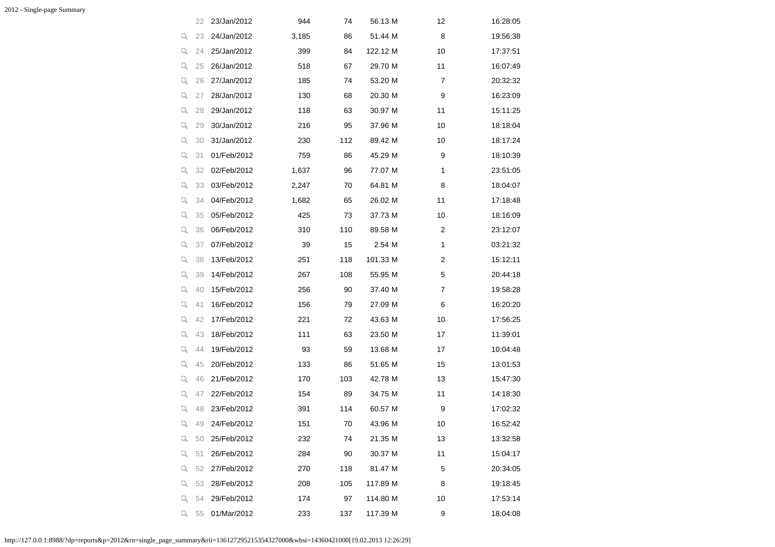|    | 22 | 23/Jan/2012 | 944   | 74  | 56.13 M  | 12             | 16:28:05 |
|----|----|-------------|-------|-----|----------|----------------|----------|
| q  | 23 | 24/Jan/2012 | 3,185 | 86  | 51.44 M  | 8              | 19:56:38 |
| Q. | 24 | 25/Jan/2012 | 399   | 84  | 122.12 M | 10             | 17:37:51 |
| Q, | 25 | 26/Jan/2012 | 518   | 67  | 29.70 M  | 11             | 16:07:49 |
| q, | 26 | 27/Jan/2012 | 185   | 74  | 53.20 M  | 7              | 20:32:32 |
| Q  | 27 | 28/Jan/2012 | 130   | 68  | 20.30 M  | 9              | 16:23:09 |
| q, | 28 | 29/Jan/2012 | 118   | 63  | 30.97 M  | 11             | 15:11:25 |
| q, | 29 | 30/Jan/2012 | 216   | 95  | 37.96 M  | 10             | 18:18:04 |
| q  | 30 | 31/Jan/2012 | 230   | 112 | 89.42 M  | 10             | 18:17:24 |
| q, | 31 | 01/Feb/2012 | 759   | 86  | 45.29 M  | 9              | 18:10:39 |
| Q, | 32 | 02/Feb/2012 | 1,637 | 96  | 77.07 M  | 1              | 23:51:05 |
| q  | 33 | 03/Feb/2012 | 2,247 | 70  | 64.81 M  | 8              | 18:04:07 |
| q, | 34 | 04/Feb/2012 | 1,682 | 65  | 26.02 M  | 11             | 17:18:48 |
| q, | 35 | 05/Feb/2012 | 425   | 73  | 37.73 M  | 10             | 18:16:09 |
| q, | 36 | 06/Feb/2012 | 310   | 110 | 89.58 M  | $\overline{c}$ | 23:12:07 |
| q, | 37 | 07/Feb/2012 | 39    | 15  | 2.54 M   | 1              | 03:21:32 |
| q, | 38 | 13/Feb/2012 | 251   | 118 | 101.33 M | 2              | 15:12:11 |
| Q  | 39 | 14/Feb/2012 | 267   | 108 | 55.95 M  | 5              | 20:44:18 |
| q, | 40 | 15/Feb/2012 | 256   | 90  | 37.40 M  | 7              | 19:58:28 |
| q  | 41 | 16/Feb/2012 | 156   | 79  | 27.09 M  | 6              | 16:20:20 |
| Q, | 42 | 17/Feb/2012 | 221   | 72  | 43.63 M  | 10             | 17:56:25 |
| q, | 43 | 18/Feb/2012 | 111   | 63  | 23.50 M  | 17             | 11:39:01 |
| q  | 44 | 19/Feb/2012 | 93    | 59  | 13.68 M  | 17             | 10:04:48 |
| q, | 45 | 20/Feb/2012 | 133   | 86  | 51.65 M  | 15             | 13:01:53 |
| q, | 46 | 21/Feb/2012 | 170   | 103 | 42.78 M  | 13             | 15:47:30 |
| Q, | 47 | 22/Feb/2012 | 154   | 89  | 34.75 M  | 11             | 14:18:30 |
| q  | 48 | 23/Feb/2012 | 391   | 114 | 60.57 M  | 9              | 17:02:32 |
| Q  | 49 | 24/Feb/2012 | 151   | 70  | 43.96 M  | 10             | 16:52:42 |
| Q  | 50 | 25/Feb/2012 | 232   | 74  | 21.35 M  | 13             | 13:32:58 |
| q, | 51 | 26/Feb/2012 | 284   | 90  | 30.37 M  | 11             | 15:04:17 |
| q  | 52 | 27/Feb/2012 | 270   | 118 | 81.47 M  | 5              | 20:34:05 |
| ų  | 53 | 28/Feb/2012 | 208   | 105 | 117.89 M | 8              | 19:18:45 |
| Q, | 54 | 29/Feb/2012 | 174   | 97  | 114.80 M | 10             | 17:53:14 |
| Q, | 55 | 01/Mar/2012 | 233   | 137 | 117.39 M | 9              | 18:04:08 |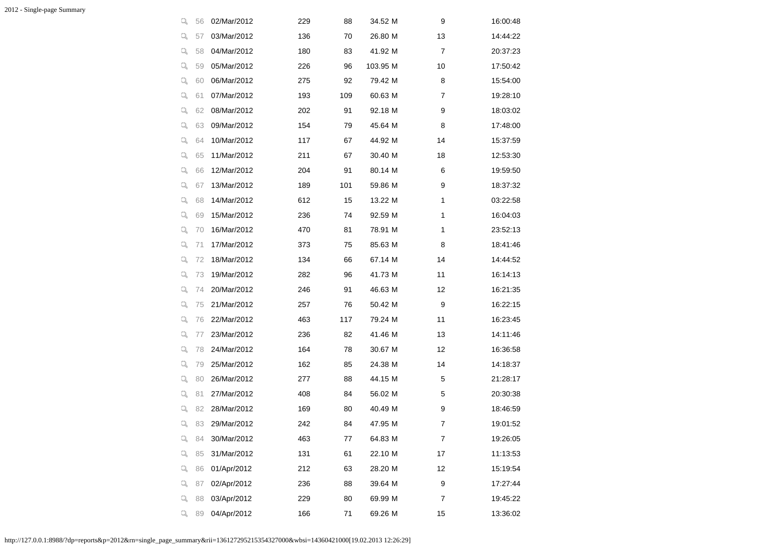| ą  | 56 | 02/Mar/2012 | 229 | 88  | 34.52 M  | 9  | 16:00:48 |
|----|----|-------------|-----|-----|----------|----|----------|
| q, | 57 | 03/Mar/2012 | 136 | 70  | 26.80 M  | 13 | 14:44:22 |
| q, | 58 | 04/Mar/2012 | 180 | 83  | 41.92 M  | 7  | 20:37:23 |
| q, | 59 | 05/Mar/2012 | 226 | 96  | 103.95 M | 10 | 17:50:42 |
| q, | 60 | 06/Mar/2012 | 275 | 92  | 79.42 M  | 8  | 15:54:00 |
| q, | 61 | 07/Mar/2012 | 193 | 109 | 60.63 M  | 7  | 19:28:10 |
| q, | 62 | 08/Mar/2012 | 202 | 91  | 92.18 M  | 9  | 18:03:02 |
| q, | 63 | 09/Mar/2012 | 154 | 79  | 45.64 M  | 8  | 17:48:00 |
| q, | 64 | 10/Mar/2012 | 117 | 67  | 44.92 M  | 14 | 15:37:59 |
| q, | 65 | 11/Mar/2012 | 211 | 67  | 30.40 M  | 18 | 12:53:30 |
| q  | 66 | 12/Mar/2012 | 204 | 91  | 80.14 M  | 6  | 19:59:50 |
| q, | 67 | 13/Mar/2012 | 189 | 101 | 59.86 M  | 9  | 18:37:32 |
| q, | 68 | 14/Mar/2012 | 612 | 15  | 13.22 M  | 1  | 03:22:58 |
| q, | 69 | 15/Mar/2012 | 236 | 74  | 92.59 M  | 1  | 16:04:03 |
| q, | 70 | 16/Mar/2012 | 470 | 81  | 78.91 M  | 1  | 23:52:13 |
| q, | 71 | 17/Mar/2012 | 373 | 75  | 85.63 M  | 8  | 18:41:46 |
| q, | 72 | 18/Mar/2012 | 134 | 66  | 67.14 M  | 14 | 14:44:52 |
| Q, | 73 | 19/Mar/2012 | 282 | 96  | 41.73 M  | 11 | 16:14:13 |
| q, | 74 | 20/Mar/2012 | 246 | 91  | 46.63 M  | 12 | 16:21:35 |
| q, | 75 | 21/Mar/2012 | 257 | 76  | 50.42 M  | 9  | 16:22:15 |
| q, | 76 | 22/Mar/2012 | 463 | 117 | 79.24 M  | 11 | 16:23:45 |
| q  | 77 | 23/Mar/2012 | 236 | 82  | 41.46 M  | 13 | 14:11:46 |
| q  | 78 | 24/Mar/2012 | 164 | 78  | 30.67 M  | 12 | 16:36:58 |
| q, | 79 | 25/Mar/2012 | 162 | 85  | 24.38 M  | 14 | 14:18:37 |
| q  | 80 | 26/Mar/2012 | 277 | 88  | 44.15 M  | 5  | 21:28:17 |
| q, | 81 | 27/Mar/2012 | 408 | 84  | 56.02 M  | 5  | 20:30:38 |
| q  | 82 | 28/Mar/2012 | 169 | 80  | 40.49 M  | 9  | 18:46:59 |
| q, | 83 | 29/Mar/2012 | 242 | 84  | 47.95 M  | 7  | 19:01:52 |
| Q  | 84 | 30/Mar/2012 | 463 | 77  | 64.83 M  | 7  | 19:26:05 |
| Q  | 85 | 31/Mar/2012 | 131 | 61  | 22.10 M  | 17 | 11:13:53 |
| q  | 86 | 01/Apr/2012 | 212 | 63  | 28.20 M  | 12 | 15:19:54 |
| q  | 87 | 02/Apr/2012 | 236 | 88  | 39.64 M  | 9  | 17:27:44 |
| q  | 88 | 03/Apr/2012 | 229 | 80  | 69.99 M  | 7  | 19:45:22 |
| q  | 89 | 04/Apr/2012 | 166 | 71  | 69.26 M  | 15 | 13:36:02 |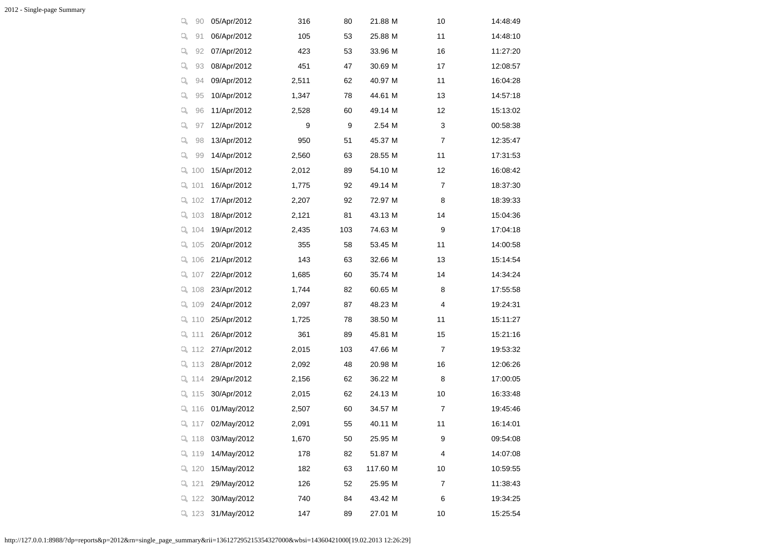| q<br>90   | 05/Apr/2012 | 316   | 80  | 21.88 M  | 10 | 14:48:49 |
|-----------|-------------|-------|-----|----------|----|----------|
| q<br>91   | 06/Apr/2012 | 105   | 53  | 25.88 M  | 11 | 14:48:10 |
| q,<br>92  | 07/Apr/2012 | 423   | 53  | 33.96 M  | 16 | 11:27:20 |
| q.<br>93  | 08/Apr/2012 | 451   | 47  | 30.69 M  | 17 | 12:08:57 |
| q<br>94   | 09/Apr/2012 | 2,511 | 62  | 40.97 M  | 11 | 16:04:28 |
| q.<br>95  | 10/Apr/2012 | 1,347 | 78  | 44.61 M  | 13 | 14:57:18 |
| q.<br>96  | 11/Apr/2012 | 2,528 | 60  | 49.14 M  | 12 | 15:13:02 |
| q,<br>97  | 12/Apr/2012 | 9     | 9   | 2.54 M   | 3  | 00:58:38 |
| q<br>98   | 13/Apr/2012 | 950   | 51  | 45.37 M  | 7  | 12:35:47 |
| q,<br>99  | 14/Apr/2012 | 2,560 | 63  | 28.55 M  | 11 | 17:31:53 |
| Q.<br>100 | 15/Apr/2012 | 2,012 | 89  | 54.10 M  | 12 | 16:08:42 |
| Q.<br>101 | 16/Apr/2012 | 1,775 | 92  | 49.14 M  | 7  | 18:37:30 |
| Q 102     | 17/Apr/2012 | 2,207 | 92  | 72.97 M  | 8  | 18:39:33 |
| Q 103     | 18/Apr/2012 | 2,121 | 81  | 43.13 M  | 14 | 15:04:36 |
| Q 104     | 19/Apr/2012 | 2,435 | 103 | 74.63 M  | 9  | 17:04:18 |
| Q 105     | 20/Apr/2012 | 355   | 58  | 53.45 M  | 11 | 14:00:58 |
| Q 106     | 21/Apr/2012 | 143   | 63  | 32.66 M  | 13 | 15:14:54 |
| Q 107     | 22/Apr/2012 | 1,685 | 60  | 35.74 M  | 14 | 14:34:24 |
| 9, 108    | 23/Apr/2012 | 1,744 | 82  | 60.65 M  | 8  | 17:55:58 |
| $Q_1$ 109 | 24/Apr/2012 | 2,097 | 87  | 48.23 M  | 4  | 19:24:31 |
| Q 110     | 25/Apr/2012 | 1,725 | 78  | 38.50 M  | 11 | 15:11:27 |
| Q 111     | 26/Apr/2012 | 361   | 89  | 45.81 M  | 15 | 15:21:16 |
| Q 112     | 27/Apr/2012 | 2,015 | 103 | 47.66 M  | 7  | 19:53:32 |
| Q 113     | 28/Apr/2012 | 2,092 | 48  | 20.98 M  | 16 | 12:06:26 |
| Q 114     | 29/Apr/2012 | 2,156 | 62  | 36.22 M  | 8  | 17:00:05 |
| Q 115     | 30/Apr/2012 | 2,015 | 62  | 24.13 M  | 10 | 16:33:48 |
| Q 116     | 01/May/2012 | 2,507 | 60  | 34.57 M  | 7  | 19:45:46 |
| Q 117     | 02/May/2012 | 2,091 | 55  | 40.11 M  | 11 | 16:14:01 |
| Q 118     | 03/May/2012 | 1,670 | 50  | 25.95 M  | 9  | 09:54:08 |
| Q 119     | 14/May/2012 | 178   | 82  | 51.87 M  | 4  | 14:07:08 |
| Q 120     | 15/May/2012 | 182   | 63  | 117.60 M | 10 | 10:59:55 |
| Q 121     | 29/May/2012 | 126   | 52  | 25.95 M  | 7  | 11:38:43 |
| Q 122     | 30/May/2012 | 740   | 84  | 43.42 M  | 6  | 19:34:25 |
| Q 123     | 31/May/2012 | 147   | 89  | 27.01 M  | 10 | 15:25:54 |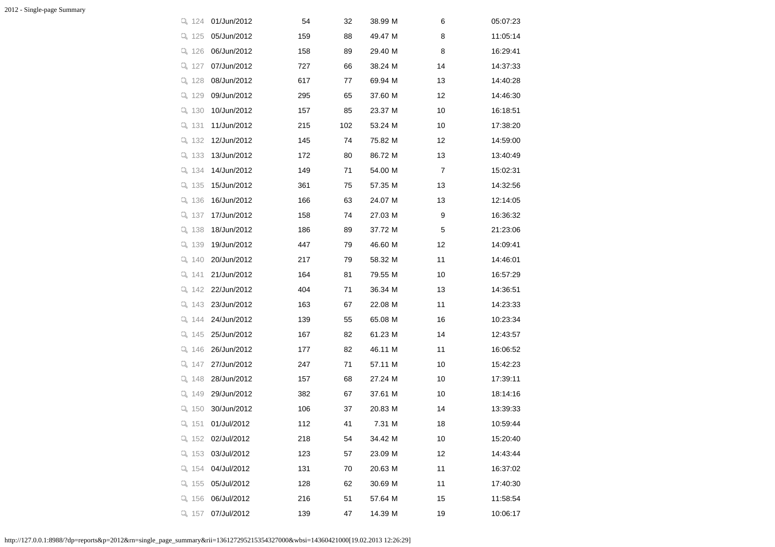| Q 124     | 01/Jun/2012 | 54  | 32  | 38.99 M | 6  | 05:07:23 |
|-----------|-------------|-----|-----|---------|----|----------|
| 9, 125    | 05/Jun/2012 | 159 | 88  | 49.47 M | 8  | 11:05:14 |
| Q 126     | 06/Jun/2012 | 158 | 89  | 29.40 M | 8  | 16:29:41 |
| Q 127     | 07/Jun/2012 | 727 | 66  | 38.24 M | 14 | 14:37:33 |
| Q 128     | 08/Jun/2012 | 617 | 77  | 69.94 M | 13 | 14:40:28 |
| Q 129     | 09/Jun/2012 | 295 | 65  | 37.60 M | 12 | 14:46:30 |
| Q 130     | 10/Jun/2012 | 157 | 85  | 23.37 M | 10 | 16:18:51 |
| Q 131     | 11/Jun/2012 | 215 | 102 | 53.24 M | 10 | 17:38:20 |
| Q 132     | 12/Jun/2012 | 145 | 74  | 75.82 M | 12 | 14:59:00 |
| Q 133     | 13/Jun/2012 | 172 | 80  | 86.72 M | 13 | 13:40:49 |
| Q 134     | 14/Jun/2012 | 149 | 71  | 54.00 M | 7  | 15:02:31 |
| $Q$ 135   | 15/Jun/2012 | 361 | 75  | 57.35 M | 13 | 14:32:56 |
| Q 136     | 16/Jun/2012 | 166 | 63  | 24.07 M | 13 | 12:14:05 |
| Q 137     | 17/Jun/2012 | 158 | 74  | 27.03 M | 9  | 16:36:32 |
| Q 138     | 18/Jun/2012 | 186 | 89  | 37.72 M | 5  | 21:23:06 |
| Q 139     | 19/Jun/2012 | 447 | 79  | 46.60 M | 12 | 14:09:41 |
| $Q$ 140   | 20/Jun/2012 | 217 | 79  | 58.32 M | 11 | 14:46:01 |
| $Q_1$ 141 | 21/Jun/2012 | 164 | 81  | 79.55 M | 10 | 16:57:29 |
| Q 142     | 22/Jun/2012 | 404 | 71  | 36.34 M | 13 | 14:36:51 |
| Q 143     | 23/Jun/2012 | 163 | 67  | 22.08 M | 11 | 14:23:33 |
| Q 144     | 24/Jun/2012 | 139 | 55  | 65.08 M | 16 | 10:23:34 |
| Q 145     | 25/Jun/2012 | 167 | 82  | 61.23 M | 14 | 12:43:57 |
| Q 146     | 26/Jun/2012 | 177 | 82  | 46.11 M | 11 | 16:06:52 |
| Q 147     | 27/Jun/2012 | 247 | 71  | 57.11 M | 10 | 15:42:23 |
| $Q$ 148   | 28/Jun/2012 | 157 | 68  | 27.24 M | 10 | 17:39:11 |
| Q 149     | 29/Jun/2012 | 382 | 67  | 37.61 M | 10 | 18:14:16 |
| Q 150     | 30/Jun/2012 | 106 | 37  | 20.83 M | 14 | 13:39:33 |
| Q 151     | 01/Jul/2012 | 112 | 41  | 7.31 M  | 18 | 10:59:44 |
| Q 152     | 02/Jul/2012 | 218 | 54  | 34.42 M | 10 | 15:20:40 |
| $Q$ 153   | 03/Jul/2012 | 123 | 57  | 23.09 M | 12 | 14:43:44 |
| $Q$ 154   | 04/Jul/2012 | 131 | 70  | 20.63 M | 11 | 16:37:02 |
| Q 155     | 05/Jul/2012 | 128 | 62  | 30.69 M | 11 | 17:40:30 |
| Q 156     | 06/Jul/2012 | 216 | 51  | 57.64 M | 15 | 11:58:54 |
| Q 157     | 07/Jul/2012 | 139 | 47  | 14.39 M | 19 | 10:06:17 |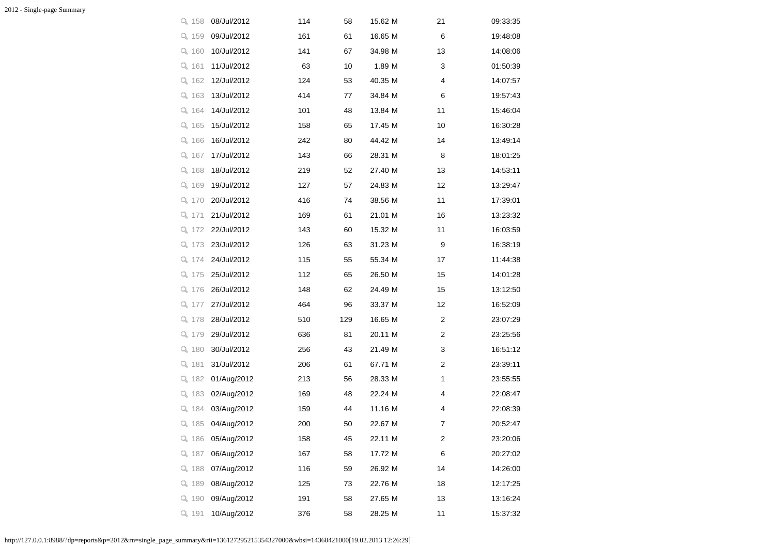| Q 158     | 08/Jul/2012 | 114 | 58  | 15.62 M | 21 | 09:33:35 |
|-----------|-------------|-----|-----|---------|----|----------|
| Q 159     | 09/Jul/2012 | 161 | 61  | 16.65 M | 6  | 19:48:08 |
| $Q$ 160   | 10/Jul/2012 | 141 | 67  | 34.98 M | 13 | 14:08:06 |
| Q 161     | 11/Jul/2012 | 63  | 10  | 1.89 M  | 3  | 01:50:39 |
| $Q$ 162   | 12/Jul/2012 | 124 | 53  | 40.35 M | 4  | 14:07:57 |
| $Q$ 163   | 13/Jul/2012 | 414 | 77  | 34.84 M | 6  | 19:57:43 |
| Q 164     | 14/Jul/2012 | 101 | 48  | 13.84 M | 11 | 15:46:04 |
| $Q$ 165   | 15/Jul/2012 | 158 | 65  | 17.45 M | 10 | 16:30:28 |
| Q 166     | 16/Jul/2012 | 242 | 80  | 44.42 M | 14 | 13:49:14 |
| Q 167     | 17/Jul/2012 | 143 | 66  | 28.31 M | 8  | 18:01:25 |
| $Q$ 168   | 18/Jul/2012 | 219 | 52  | 27.40 M | 13 | 14:53:11 |
| Q 169     | 19/Jul/2012 | 127 | 57  | 24.83 M | 12 | 13:29:47 |
| Q 170     | 20/Jul/2012 | 416 | 74  | 38.56 M | 11 | 17:39:01 |
| Q 171     | 21/Jul/2012 | 169 | 61  | 21.01 M | 16 | 13:23:32 |
| $Q_{172}$ | 22/Jul/2012 | 143 | 60  | 15.32 M | 11 | 16:03:59 |
| Q 173     | 23/Jul/2012 | 126 | 63  | 31.23 M | 9  | 16:38:19 |
| $Q$ 174   | 24/Jul/2012 | 115 | 55  | 55.34 M | 17 | 11:44:38 |
| Q 175     | 25/Jul/2012 | 112 | 65  | 26.50 M | 15 | 14:01:28 |
| Q 176     | 26/Jul/2012 | 148 | 62  | 24.49 M | 15 | 13:12:50 |
| $Q_1$ 177 | 27/Jul/2012 | 464 | 96  | 33.37 M | 12 | 16:52:09 |
| Q 178     | 28/Jul/2012 | 510 | 129 | 16.65 M | 2  | 23:07:29 |
| Q 179     | 29/Jul/2012 | 636 | 81  | 20.11 M | 2  | 23:25:56 |
| $Q$ 180   | 30/Jul/2012 | 256 | 43  | 21.49 M | 3  | 16:51:12 |
| Q 181     | 31/Jul/2012 | 206 | 61  | 67.71 M | 2  | 23:39:11 |
| $Q$ 182   | 01/Aug/2012 | 213 | 56  | 28.33 M | 1  | 23:55:55 |
| $Q$ 183   | 02/Aug/2012 | 169 | 48  | 22.24 M | 4  | 22:08:47 |
| Q 184     | 03/Aug/2012 | 159 | 44  | 11.16 M | 4  | 22:08:39 |
| Q 185     | 04/Aug/2012 | 200 | 50  | 22.67 M | 7  | 20:52:47 |
| Q 186     | 05/Aug/2012 | 158 | 45  | 22.11 M | 2  | 23:20:06 |
| Q 187     | 06/Aug/2012 | 167 | 58  | 17.72 M | 6  | 20:27:02 |
| $Q$ 188   | 07/Aug/2012 | 116 | 59  | 26.92 M | 14 | 14:26:00 |
| Q 189     | 08/Aug/2012 | 125 | 73  | 22.76 M | 18 | 12:17:25 |
| $Q_1$ 190 | 09/Aug/2012 | 191 | 58  | 27.65 M | 13 | 13:16:24 |
| Q 191     | 10/Aug/2012 | 376 | 58  | 28.25 M | 11 | 15:37:32 |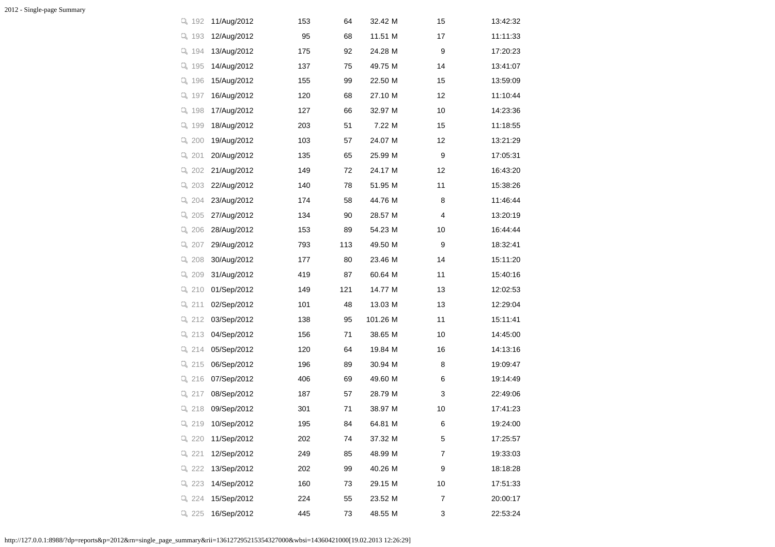| Q 192     | 11/Aug/2012 | 153 | 64  | 32.42 M  | 15 | 13:42:32 |
|-----------|-------------|-----|-----|----------|----|----------|
| Q 193     | 12/Aug/2012 | 95  | 68  | 11.51 M  | 17 | 11:11:33 |
| Q 194     | 13/Aug/2012 | 175 | 92  | 24.28 M  | 9  | 17:20:23 |
| Q 195     | 14/Aug/2012 | 137 | 75  | 49.75 M  | 14 | 13:41:07 |
| Q 196     | 15/Aug/2012 | 155 | 99  | 22.50 M  | 15 | 13:59:09 |
| Q 197     | 16/Aug/2012 | 120 | 68  | 27.10 M  | 12 | 11:10:44 |
| Q 198     | 17/Aug/2012 | 127 | 66  | 32.97 M  | 10 | 14:23:36 |
| Q 199     | 18/Aug/2012 | 203 | 51  | 7.22 M   | 15 | 11:18:55 |
| Q 200     | 19/Aug/2012 | 103 | 57  | 24.07 M  | 12 | 13:21:29 |
| Q 201     | 20/Aug/2012 | 135 | 65  | 25.99 M  | 9  | 17:05:31 |
| Q 202     | 21/Aug/2012 | 149 | 72  | 24.17 M  | 12 | 16:43:20 |
| Q 203     | 22/Aug/2012 | 140 | 78  | 51.95 M  | 11 | 15:38:26 |
| Q 204     | 23/Aug/2012 | 174 | 58  | 44.76 M  | 8  | 11:46:44 |
| Q 205     | 27/Aug/2012 | 134 | 90  | 28.57 M  | 4  | 13:20:19 |
| Q 206     | 28/Aug/2012 | 153 | 89  | 54.23 M  | 10 | 16:44:44 |
| Q 207     | 29/Aug/2012 | 793 | 113 | 49.50 M  | 9  | 18:32:41 |
| Q 208     | 30/Aug/2012 | 177 | 80  | 23.46 M  | 14 | 15:11:20 |
| Q 209     | 31/Aug/2012 | 419 | 87  | 60.64 M  | 11 | 15:40:16 |
| Q 210     | 01/Sep/2012 | 149 | 121 | 14.77 M  | 13 | 12:02:53 |
| $Q_{211}$ | 02/Sep/2012 | 101 | 48  | 13.03 M  | 13 | 12:29:04 |
| Q 212     | 03/Sep/2012 | 138 | 95  | 101.26 M | 11 | 15:11:41 |
| Q 213     | 04/Sep/2012 | 156 | 71  | 38.65 M  | 10 | 14:45:00 |
| Q 214     | 05/Sep/2012 | 120 | 64  | 19.84 M  | 16 | 14:13:16 |
| Q 215     | 06/Sep/2012 | 196 | 89  | 30.94 M  | 8  | 19:09:47 |
| Q 216     | 07/Sep/2012 | 406 | 69  | 49.60 M  | 6  | 19:14:49 |
| Q 217     | 08/Sep/2012 | 187 | 57  | 28.79 M  | 3  | 22:49:06 |
| Q 218     | 09/Sep/2012 | 301 | 71  | 38.97 M  | 10 | 17:41:23 |
| Q 219     | 10/Sep/2012 | 195 | 84  | 64.81 M  | 6  | 19:24:00 |
| Q 220     | 11/Sep/2012 | 202 | 74  | 37.32 M  | 5  | 17:25:57 |
| Q 221     | 12/Sep/2012 | 249 | 85  | 48.99 M  | 7  | 19:33:03 |
| $Q_{222}$ | 13/Sep/2012 | 202 | 99  | 40.26 M  | 9  | 18:18:28 |
| Q 223     | 14/Sep/2012 | 160 | 73  | 29.15 M  | 10 | 17:51:33 |
| Q 224     | 15/Sep/2012 | 224 | 55  | 23.52 M  | 7  | 20:00:17 |
| Q 225     | 16/Sep/2012 | 445 | 73  | 48.55 M  | 3  | 22:53:24 |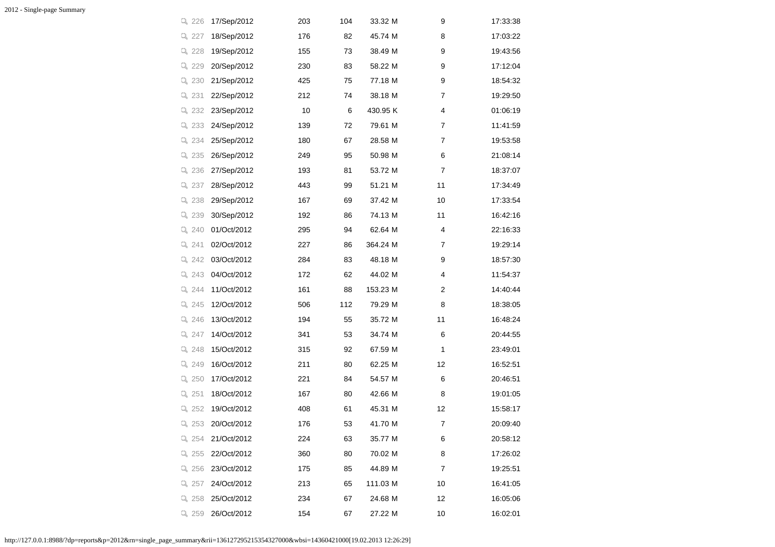| Q 226   | 17/Sep/2012 | 203 | 104 | 33.32 M  | 9  | 17:33:38 |
|---------|-------------|-----|-----|----------|----|----------|
| Q 227   | 18/Sep/2012 | 176 | 82  | 45.74 M  | 8  | 17:03:22 |
| Q 228   | 19/Sep/2012 | 155 | 73  | 38.49 M  | 9  | 19:43:56 |
| Q 229   | 20/Sep/2012 | 230 | 83  | 58.22 M  | 9  | 17:12:04 |
| Q 230   | 21/Sep/2012 | 425 | 75  | 77.18 M  | 9  | 18:54:32 |
| Q 231   | 22/Sep/2012 | 212 | 74  | 38.18 M  | 7  | 19:29:50 |
| Q 232   | 23/Sep/2012 | 10  | 6   | 430.95 K | 4  | 01:06:19 |
| Q 233   | 24/Sep/2012 | 139 | 72  | 79.61 M  | 7  | 11:41:59 |
| Q 234   | 25/Sep/2012 | 180 | 67  | 28.58 M  | 7  | 19:53:58 |
| Q 235   | 26/Sep/2012 | 249 | 95  | 50.98 M  | 6  | 21:08:14 |
| Q 236   | 27/Sep/2012 | 193 | 81  | 53.72 M  | 7  | 18:37:07 |
| Q 237   | 28/Sep/2012 | 443 | 99  | 51.21 M  | 11 | 17:34:49 |
| Q 238   | 29/Sep/2012 | 167 | 69  | 37.42 M  | 10 | 17:33:54 |
| Q 239   | 30/Sep/2012 | 192 | 86  | 74.13 M  | 11 | 16:42:16 |
| $Q$ 240 | 01/Oct/2012 | 295 | 94  | 62.64 M  | 4  | 22:16:33 |
| Q 241   | 02/Oct/2012 | 227 | 86  | 364.24 M | 7  | 19:29:14 |
| Q 242   | 03/Oct/2012 | 284 | 83  | 48.18 M  | 9  | 18:57:30 |
| Q 243   | 04/Oct/2012 | 172 | 62  | 44.02 M  | 4  | 11:54:37 |
| Q 244   | 11/Oct/2012 | 161 | 88  | 153.23 M | 2  | 14:40:44 |
| Q 245   | 12/Oct/2012 | 506 | 112 | 79.29 M  | 8  | 18:38:05 |
| Q 246   | 13/Oct/2012 | 194 | 55  | 35.72 M  | 11 | 16:48:24 |
| Q 247   | 14/Oct/2012 | 341 | 53  | 34.74 M  | 6  | 20:44:55 |
| Q 248   | 15/Oct/2012 | 315 | 92  | 67.59 M  | 1  | 23:49:01 |
| Q 249   | 16/Oct/2012 | 211 | 80  | 62.25 M  | 12 | 16:52:51 |
| Q 250   | 17/Oct/2012 | 221 | 84  | 54.57 M  | 6  | 20:46:51 |
| Q 251   | 18/Oct/2012 | 167 | 80  | 42.66 M  | 8  | 19:01:05 |
| Q 252   | 19/Oct/2012 | 408 | 61  | 45.31 M  | 12 | 15:58:17 |
| Q 253   | 20/Oct/2012 | 176 | 53  | 41.70 M  | 7  | 20:09:40 |
| Q 254   | 21/Oct/2012 | 224 | 63  | 35.77 M  | 6  | 20:58:12 |
| Q 255   | 22/Oct/2012 | 360 | 80  | 70.02 M  | 8  | 17:26:02 |
| Q 256   | 23/Oct/2012 | 175 | 85  | 44.89 M  | 7  | 19:25:51 |
| Q 257   | 24/Oct/2012 | 213 | 65  | 111.03 M | 10 | 16:41:05 |
| Q 258   | 25/Oct/2012 | 234 | 67  | 24.68 M  | 12 | 16:05:06 |
| Q 259   | 26/Oct/2012 | 154 | 67  | 27.22 M  | 10 | 16:02:01 |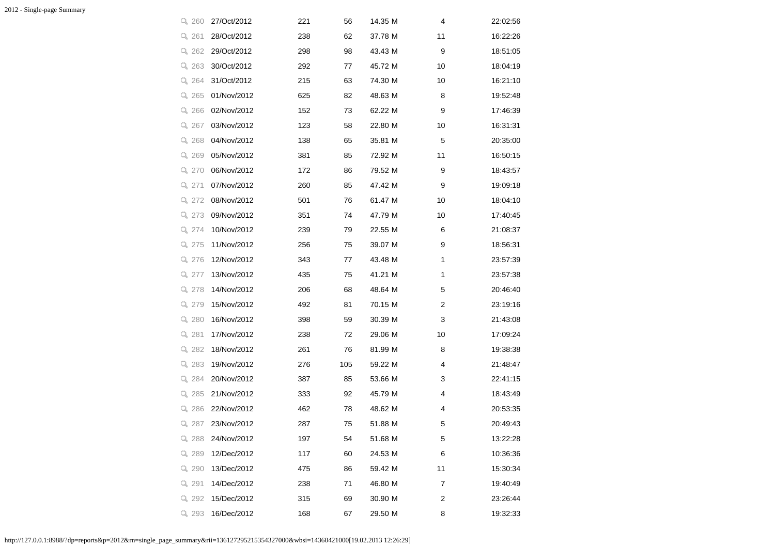| Q 260   | 27/Oct/2012 | 221 | 56  | 14.35 M | 4  | 22:02:56 |
|---------|-------------|-----|-----|---------|----|----------|
| 9, 261  | 28/Oct/2012 | 238 | 62  | 37.78 M | 11 | 16:22:26 |
| Q 262   | 29/Oct/2012 | 298 | 98  | 43.43 M | 9  | 18:51:05 |
| Q 263   | 30/Oct/2012 | 292 | 77  | 45.72 M | 10 | 18:04:19 |
| Q 264   | 31/Oct/2012 | 215 | 63  | 74.30 M | 10 | 16:21:10 |
| Q 265   | 01/Nov/2012 | 625 | 82  | 48.63 M | 8  | 19:52:48 |
| Q 266   | 02/Nov/2012 | 152 | 73  | 62.22 M | 9  | 17:46:39 |
| Q 267   | 03/Nov/2012 | 123 | 58  | 22.80 M | 10 | 16:31:31 |
| Q 268   | 04/Nov/2012 | 138 | 65  | 35.81 M | 5  | 20:35:00 |
| Q 269   | 05/Nov/2012 | 381 | 85  | 72.92 M | 11 | 16:50:15 |
| Q 270   | 06/Nov/2012 | 172 | 86  | 79.52 M | 9  | 18:43:57 |
| Q 271   | 07/Nov/2012 | 260 | 85  | 47.42 M | 9  | 19:09:18 |
| Q 272   | 08/Nov/2012 | 501 | 76  | 61.47 M | 10 | 18:04:10 |
| Q 273   | 09/Nov/2012 | 351 | 74  | 47.79 M | 10 | 17:40:45 |
| $Q$ 274 | 10/Nov/2012 | 239 | 79  | 22.55 M | 6  | 21:08:37 |
| Q 275   | 11/Nov/2012 | 256 | 75  | 39.07 M | 9  | 18:56:31 |
| Q 276   | 12/Nov/2012 | 343 | 77  | 43.48 M | 1  | 23:57:39 |
| Q 277   | 13/Nov/2012 | 435 | 75  | 41.21 M | 1  | 23:57:38 |
| Q 278   | 14/Nov/2012 | 206 | 68  | 48.64 M | 5  | 20:46:40 |
| Q 279   | 15/Nov/2012 | 492 | 81  | 70.15 M | 2  | 23:19:16 |
| Q 280   | 16/Nov/2012 | 398 | 59  | 30.39 M | 3  | 21:43:08 |
| Q 281   | 17/Nov/2012 | 238 | 72  | 29.06 M | 10 | 17:09:24 |
| Q 282   | 18/Nov/2012 | 261 | 76  | 81.99 M | 8  | 19:38:38 |
| Q 283   | 19/Nov/2012 | 276 | 105 | 59.22 M | 4  | 21:48:47 |
| Q 284   | 20/Nov/2012 | 387 | 85  | 53.66 M | 3  | 22:41:15 |
| Q 285   | 21/Nov/2012 | 333 | 92  | 45.79 M | 4  | 18:43:49 |
| Q 286   | 22/Nov/2012 | 462 | 78  | 48.62 M | 4  | 20:53:35 |
| Q 287   | 23/Nov/2012 | 287 | 75  | 51.88 M | 5  | 20:49:43 |
| Q 288   | 24/Nov/2012 | 197 | 54  | 51.68 M | 5  | 13:22:28 |
| Q 289   | 12/Dec/2012 | 117 | 60  | 24.53 M | 6  | 10:36:36 |
| Q 290   | 13/Dec/2012 | 475 | 86  | 59.42 M | 11 | 15:30:34 |
| Q 291   | 14/Dec/2012 | 238 | 71  | 46.80 M | 7  | 19:40:49 |
| Q 292   | 15/Dec/2012 | 315 | 69  | 30.90 M | 2  | 23:26:44 |
| Q 293   | 16/Dec/2012 | 168 | 67  | 29.50 M | 8  | 19:32:33 |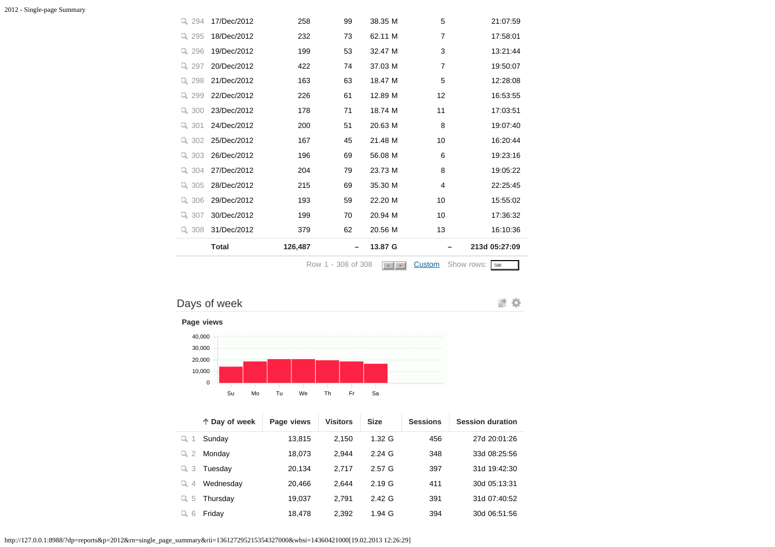|           |              |         | Row 1 - 308 of 308 | $\vert \cdot \vert$ > | Custom         | Show rows:<br>500 |
|-----------|--------------|---------|--------------------|-----------------------|----------------|-------------------|
|           | <b>Total</b> | 126,487 |                    | 13.87 G               |                | 213d 05:27:09     |
| Q 308     | 31/Dec/2012  | 379     | 62                 | 20.56 M               | 13             | 16:10:36          |
| Q $307$   | 30/Dec/2012  | 199     | 70                 | 20.94 M               | 10             | 17:36:32          |
| 306<br>Q. | 29/Dec/2012  | 193     | 59                 | 22.20 M               | 10             | 15:55:02          |
| Q 305     | 28/Dec/2012  | 215     | 69                 | 35.30 M               | 4              | 22:25:45          |
| 304<br>Q. | 27/Dec/2012  | 204     | 79                 | 23.73 M               | 8              | 19:05:22          |
| 303<br>Q. | 26/Dec/2012  | 196     | 69                 | 56.08 M               | 6              | 19:23:16          |
| $Q_{302}$ | 25/Dec/2012  | 167     | 45                 | 21.48 M               | 10             | 16:20:44          |
| 301<br>Q. | 24/Dec/2012  | 200     | 51                 | 20.63 M               | 8              | 19:07:40          |
| 300<br>Q. | 23/Dec/2012  | 178     | 71                 | 18.74 M               | 11             | 17:03:51          |
| 299       | 22/Dec/2012  | 226     | 61                 | 12.89 M               | 12             | 16:53:55          |
| 298<br>Q. | 21/Dec/2012  | 163     | 63                 | 18.47 M               | 5              | 12:28:08          |
| 297<br>Q, | 20/Dec/2012  | 422     | 74                 | 37.03 M               | $\overline{7}$ | 19:50:07          |
| 296<br>Q. | 19/Dec/2012  | 199     | 53                 | 32.47 M               | 3              | 13:21:44          |
| 295<br>Q. | 18/Dec/2012  | 232     | 73                 | 62.11 M               | $\overline{7}$ | 17:58:01          |
| 294<br>Q. | 17/Dec/2012  | 258     | 99                 | 38.35 M               | 5              | 21:07:59          |

## Days of week



**Page views**



|                      | ↑ Day of week | Page views | <b>Visitors</b> | <b>Size</b>       | <b>Sessions</b> | <b>Session duration</b> |
|----------------------|---------------|------------|-----------------|-------------------|-----------------|-------------------------|
| ц                    | Sunday        | 13.815     | 2.150           | 1.32 <sub>G</sub> | 456             | 27d 20:01:26            |
| $\overline{2}$<br>Q. | Monday        | 18,073     | 2.944           | $2.24 \text{ G}$  | 348             | 33d 08:25:56            |
| -3<br>u,             | Tuesday       | 20.134     | 2.717           | 2.57 <sub>G</sub> | 397             | 31d 19:42:30            |
| u,<br>4              | Wednesday     | 20.466     | 2.644           | 2.19G             | 411             | 30d 05:13:31            |
| 5<br>Q.              | Thursday      | 19,037     | 2.791           | 2.42 <sub>G</sub> | 391             | 31d 07:40:52            |
| 6                    | Friday        | 18,478     | 2,392           | $1.94$ G          | 394             | 30d 06:51:56            |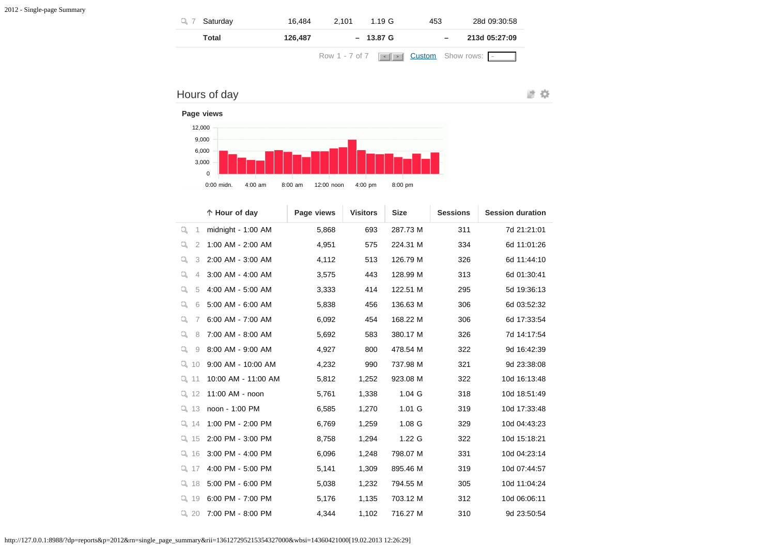| Saturday | 16.484  | 2.101<br>1.19 G                                                 | 453 | 28d 09:30:58  |
|----------|---------|-----------------------------------------------------------------|-----|---------------|
| Total    | 126.487 | $-13.87 \text{ G}$                                              |     | 213d 05:27:09 |
|          |         | Row 1 - 7 of 7 $\ \cdot\ $ $\ \cdot\ $ <b>Custom</b> Show rows: |     |               |



 0:00 midn. 4:00 am 8:00 am 12:00 noon 4:00 pm 8:00 pm **Hour of day Page views Visitors Size Sessions Session duration**  $\overline{\phantom{a}}$ 

| Q<br>1              | midnight - $1:00$ AM | 5,868 | 693   | 287.73 M          | 311 | 7d 21:21:01  |
|---------------------|----------------------|-------|-------|-------------------|-----|--------------|
| Q<br>$\overline{2}$ | 1:00 AM - 2:00 AM    | 4,951 | 575   | 224.31 M          | 334 | 6d 11:01:26  |
| Q<br>3              | 2:00 AM - 3:00 AM    | 4,112 | 513   | 126.79 M          | 326 | 6d 11:44:10  |
| Q<br>$\overline{4}$ | 3:00 AM - 4:00 AM    | 3,575 | 443   | 128.99 M          | 313 | 6d 01:30:41  |
| Q<br>5              | 4:00 AM - 5:00 AM    | 3,333 | 414   | 122.51 M          | 295 | 5d 19:36:13  |
| Q<br>6              | 5:00 AM - 6:00 AM    | 5,838 | 456   | 136.63 M          | 306 | 6d 03:52:32  |
| Q<br>7              | 6:00 AM - 7:00 AM    | 6,092 | 454   | 168.22 M          | 306 | 6d 17:33:54  |
| Q<br>8              | 7:00 AM - 8:00 AM    | 5,692 | 583   | 380.17 M          | 326 | 7d 14:17:54  |
| Q.<br>9             | 8:00 AM - 9:00 AM    | 4,927 | 800   | 478.54 M          | 322 | 9d 16:42:39  |
| $Q$ 10              | 9:00 AM - 10:00 AM   | 4,232 | 990   | 737.98 M          | 321 | 9d 23:38:08  |
| $Q$ 11              | 10:00 AM - 11:00 AM  | 5,812 | 1,252 | 923.08 M          | 322 | 10d 16:13:48 |
| $Q$ 12              | 11:00 AM - noon      | 5,761 | 1,338 | $1.04$ G          | 318 | 10d 18:51:49 |
| $Q$ 13              | noon - 1:00 PM       | 6,585 | 1,270 | $1.01$ G          | 319 | 10d 17:33:48 |
| $Q$ 14              | 1:00 PM - 2:00 PM    | 6,769 | 1,259 | 1.08 G            | 329 | 10d 04:43:23 |
| $Q$ 15              | 2:00 PM - 3:00 PM    | 8,758 | 1,294 | 1.22 <sub>G</sub> | 322 | 10d 15:18:21 |
| $Q$ 16              | 3:00 PM - 4:00 PM    | 6,096 | 1,248 | 798.07 M          | 331 | 10d 04:23:14 |
| $Q$ 17              | 4:00 PM - 5:00 PM    | 5,141 | 1,309 | 895.46 M          | 319 | 10d 07:44:57 |
| $Q$ 18              | 5:00 PM - 6:00 PM    | 5,038 | 1,232 | 794.55 M          | 305 | 10d 11:04:24 |
| $Q$ 19              | 6:00 PM - 7:00 PM    | 5,176 | 1,135 | 703.12 M          | 312 | 10d 06:06:11 |
| Q20                 | 7:00 PM - 8:00 PM    | 4,344 | 1,102 | 716.27 M          | 310 | 9d 23:50:54  |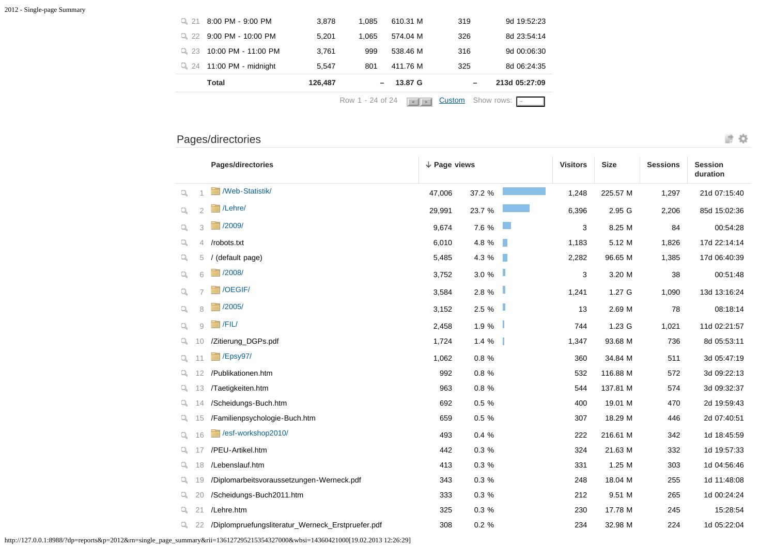|          |                      |         | Row 1 - 24 of 24 | $\rightarrow$ | Custom          | Show rows:    |
|----------|----------------------|---------|------------------|---------------|-----------------|---------------|
|          | Total                | 126,487 |                  | 13.87 G       | $\qquad \qquad$ | 213d 05:27:09 |
| 24<br>u. | 11:00 PM - midnight  | 5.547   | 801              | 411.76 M      | 325             | 8d 06:24:35   |
| $Q_{23}$ | 10:00 PM - 11:00 PM  | 3.761   | 999              | 538.46 M      | 316             | 9d 00:06:30   |
| 22<br>Q. | $9:00$ PM - 10:00 PM | 5.201   | 1.065            | 574.04 M      | 326             | 8d 23:54:14   |
| 21<br>u. | 8:00 PM - 9:00 PM    | 3.878   | 1.085            | 610.31 M      | 319             | 9d 19:52:23   |

## Pages/directories

|              |                | Pages/directories                         | $\downarrow$ Page views |        | <b>Visitors</b> | <b>Size</b> | <b>Sessions</b>   | <b>Session</b><br>duration |              |
|--------------|----------------|-------------------------------------------|-------------------------|--------|-----------------|-------------|-------------------|----------------------------|--------------|
| Q            |                | /Web-Statistik/                           | 47.006                  | 37.2 % |                 | 1,248       | 225.57 M          | 1,297                      | 21d 07:15:40 |
| Q            | $\overline{2}$ | /Lehre/                                   | 29,991                  | 23.7 % |                 | 6,396       | 2.95 G            | 2,206                      | 85d 15:02:36 |
| Q            | 3              | /2009/                                    | 9,674                   | 7.6 %  |                 | 3           | 8.25 M            | 84                         | 00:54:28     |
| q            | 4              | /robots.txt                               | 6,010                   | 4.8 %  | T.              | 1,183       | 5.12 M            | 1,826                      | 17d 22:14:14 |
| q            | 5              | (default page)                            | 5,485                   | 4.3 %  | H.              | 2,282       | 96.65 M           | 1,385                      | 17d 06:40:39 |
| Q            | 6              | /2008/                                    | 3,752                   | 3.0 %  |                 | 3           | 3.20 M            | 38                         | 00:51:48     |
| Q            |                | /OEGIF/                                   | 3,584                   | 2.8 %  |                 | 1,241       | 1.27 <sub>G</sub> | 1,090                      | 13d 13:16:24 |
| $\mathbb{Q}$ | 8              | /2005/                                    | 3,152                   | 2.5 %  |                 | 13          | 2.69 M            | 78                         | 08:18:14     |
| $\mathbb{Q}$ | $\Omega$       | $ $ /FIL/                                 | 2,458                   | 1.9 %  |                 | 744         | 1.23 G            | 1,021                      | 11d 02:21:57 |
| Q.           | 10             | /Zitierung_DGPs.pdf                       | 1,724                   | 1.4%   |                 | 1,347       | 93.68 M           | 736                        | 8d 05:53:11  |
| Q.           | 11             | $E$ /Epsy97/                              | 1,062                   | 0.8%   |                 | 360         | 34.84 M           | 511                        | 3d 05:47:19  |
| Q.           | 12             | /Publikationen.htm                        | 992                     | 0.8%   |                 | 532         | 116.88 M          | 572                        | 3d 09:22:13  |
| Q.           | 13             | /Taetigkeiten.htm                         | 963                     | 0.8%   |                 | 544         | 137.81 M          | 574                        | 3d 09:32:37  |
| Q.           | 14             | /Scheidungs-Buch.htm                      | 692                     | 0.5 %  |                 | 400         | 19.01 M           | 470                        | 2d 19:59:43  |
| Q.           | 15             | /Familienpsychologie-Buch.htm             | 659                     | 0.5 %  |                 | 307         | 18.29 M           | 446                        | 2d 07:40:51  |
| $Q_{\rm c}$  | 16             | /esf-workshop2010/                        | 493                     | 0.4%   |                 | 222         | 216.61 M          | 342                        | 1d 18:45:59  |
| Q.           | 17             | /PEU-Artikel.htm                          | 442                     | 0.3%   |                 | 324         | 21.63 M           | 332                        | 1d 19:57:33  |
| $Q_{\rm c}$  | 18             | /Lebenslauf.htm                           | 413                     | 0.3%   |                 | 331         | 1.25 M            | 303                        | 1d 04:56:46  |
| Q.           | 19             | /Diplomarbeitsvoraussetzungen-Werneck.pdf | 343                     | 0.3%   |                 | 248         | 18.04 M           | 255                        | 1d 11:48:08  |
| Q.           | 20             | /Scheidungs-Buch2011.htm                  | 333                     | 0.3%   |                 | 212         | 9.51 M            | 265                        | 1d 00:24:24  |
| Q.           | 21             | /Lehre.htm                                | 325                     | 0.3%   |                 | 230         | 17.78 M           | 245                        | 15:28:54     |

/Diplompruefungsliteratur\_Werneck\_Erstpruefer.pdf 308 0.2 % 234 32.98 M 224 1d 05:22:04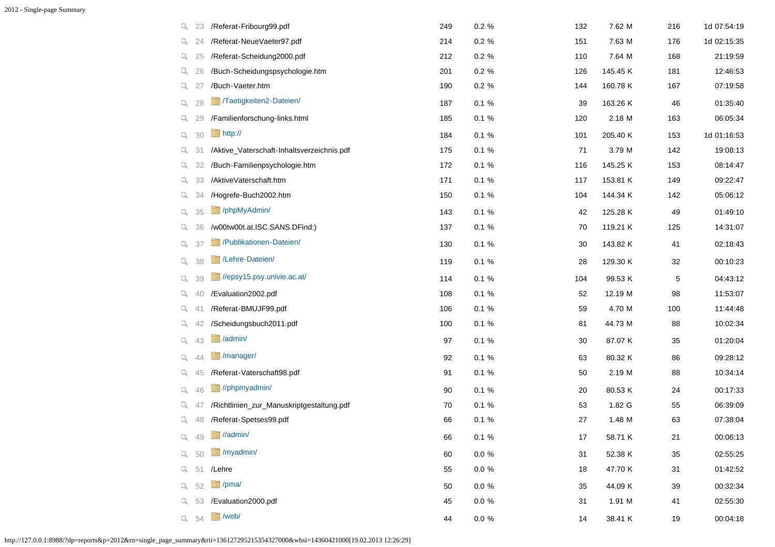| Q  | 23 | /Referat-Fribourg99.pdf                    | 249 | $0.2 \%$  | 132 | 7.62 M   | 216 | 1d 07:54:19 |
|----|----|--------------------------------------------|-----|-----------|-----|----------|-----|-------------|
| q. | 24 | /Referat-NeueVaeter97.pdf                  | 214 | $0.2 \%$  | 151 | 7.63 M   | 176 | 1d 02:15:35 |
| q. | 25 | /Referat-Scheidung2000.pdf                 | 212 | $0.2 \%$  | 110 | 7.64 M   | 168 | 21:19:59    |
| Q. | 26 | /Buch-Scheidungspsychologie.htm            | 201 | $0.2 \%$  | 126 | 145.45 K | 181 | 12:46:53    |
| Q. | 27 | /Buch-Vaeter.htm                           | 190 | $0.2 \%$  | 144 | 160.78 K | 167 | 07:19:58    |
| Q. | 28 | /Taetigkeiten2-Dateien                     | 187 | 0.1%      | 39  | 163.26 K | 46  | 01:35:40    |
| q. | 29 | /Familienforschung-links.html              | 185 | 0.1%      | 120 | 2.18 M   | 163 | 06:05:34    |
| Q  | 30 | http://                                    | 184 | 0.1%      | 101 | 205.40 K | 153 | 1d 01:16:53 |
| Q. | 31 | /Aktive_Vaterschaft-Inhaltsverzeichnis.pdf | 175 | 0.1%      | 71  | 3.79 M   | 142 | 19:08:13    |
| Q. | 32 | /Buch-Familienpsychologie.htm              | 172 | 0.1%      | 116 | 145.25 K | 153 | 08:14:47    |
| Q. | 33 | /AktiveVaterschaft.htm                     | 171 | 0.1%      | 117 | 153.81 K | 149 | 09:22:47    |
| Q. | 34 | /Hogrefe-Buch2002.htm                      | 150 | 0.1%      | 104 | 144.34 K | 142 | 05:06:12    |
| Q. | 35 | /phpMyAdmin/                               | 143 | 0.1%      | 42  | 125.28 K | 49  | 01:49:10    |
| q. | 36 | /w00tw00t.at.ISC.SANS.DFind:)              | 137 | 0.1%      | 70  | 119.21 K | 125 | 14:31:07    |
| Q. | 37 | /Publikationen-Dateien/                    | 130 | 0.1%      | 30  | 143.82 K | 41  | 02:18:43    |
| Q. | 38 | /Lehre-Dateien/                            | 119 | 0.1%      | 28  | 129.30 K | 32  | 00:10:23    |
| Q. | 39 | //epsy15.psy.univie.ac.at/                 | 114 | 0.1%      | 104 | 99.53 K  | 5   | 04:43:12    |
| Q. | 40 | /Evaluation2002.pdf                        | 108 | 0.1%      | 52  | 12.19 M  | 98  | 11:53:07    |
| Q. | 41 | /Referat-BMUJF99.pdf                       | 106 | 0.1%      | 59  | 4.70 M   | 100 | 11:44:48    |
| q. | 42 | /Scheidungsbuch2011.pdf                    | 100 | 0.1%      | 81  | 44.73 M  | 88  | 10:02:34    |
| Q. | 43 | /admin/                                    | 97  | 0.1%      | 30  | 87.07 K  | 35  | 01:20:04    |
| Q. | 44 | /manager/                                  | 92  | 0.1%      | 63  | 80.32 K  | 86  | 09:28:12    |
| Q. | 45 | /Referat-Vaterschaft98.pdf                 | 91  | 0.1%      | 50  | 2.19 M   | 88  | 10:34:14    |
| Q. | 46 | //phpmyadmin/                              | 90  | 0.1%      | 20  | 80.53 K  | 24  | 00:17:33    |
| Q. | 47 | /Richtlinien_zur_Manuskriptgestaltung.pdf  | 70  | 0.1%      | 53  | 1.82 G   | 55  | 06:39:09    |
| Q. | 48 | /Referat-Spetses99.pdf                     | 66  | 0.1%      | 27  | 1.48 M   | 63  | 07:38:04    |
| Q  | 49 | //admin/                                   | 66  | 0.1%      | 17  | 58.71 K  | 21  | 00:06:13    |
| Q. | 50 | /myadmin/                                  | 60  | $0.0\ \%$ | 31  | 52.38 K  | 35  | 02:55:25    |
| Р. | 51 | /Lehre                                     | 55  | $0.0\ \%$ | 18  | 47.70 K  | 31  | 01:42:52    |
| Q. | 52 | $\Box$ /pma/                               | 50  | $0.0 \%$  | 35  | 44.09 K  | 39  | 00:32:34    |
| Q. | 53 | /Evaluation2000.pdf                        | 45  | $0.0\ \%$ | 31  | 1.91 M   | 41  | 02:55:30    |
| Q. | 54 | $\Box$ /web/                               | 44  | $0.0\ \%$ | 14  | 38.41 K  | 19  | 00:04:18    |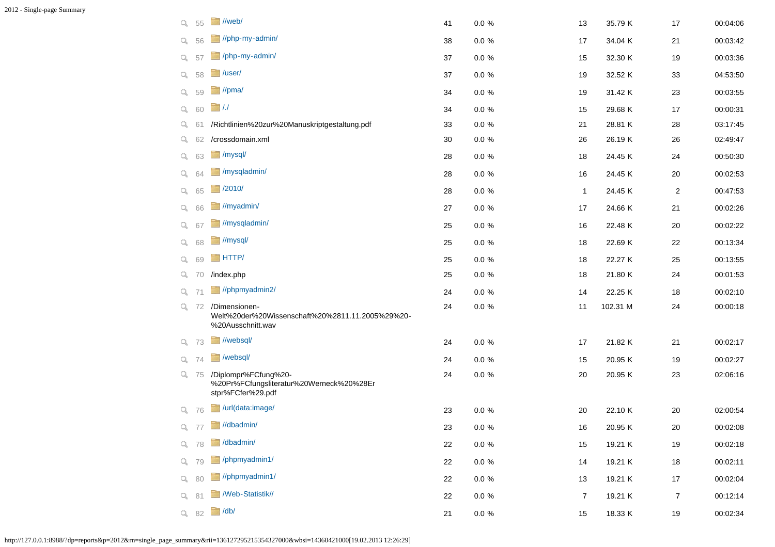| Q. | 55           | //web/                                                                                 | 41 | $0.0 \%$  | 13             | 35.79 K  | 17             | 00:04:06 |
|----|--------------|----------------------------------------------------------------------------------------|----|-----------|----------------|----------|----------------|----------|
| Q. | 56           | //php-my-admin/                                                                        | 38 | $0.0 \%$  | 17             | 34.04 K  | 21             | 00:03:42 |
| Q. | 57           | /php-my-admin/                                                                         | 37 | $0.0 \%$  | 15             | 32.30 K  | 19             | 00:03:36 |
| Q. | 58           | $\blacksquare$ /user/                                                                  | 37 | $0.0 \%$  | 19             | 32.52 K  | 33             | 04:53:50 |
| Q. | 59           | $\blacksquare$ //pma/                                                                  | 34 | $0.0 \%$  | 19             | 31.42 K  | 23             | 00:03:55 |
| Q. | 60           | $\Box$ /./                                                                             | 34 | $0.0 \%$  | 15             | 29.68 K  | 17             | 00:00:31 |
| Q. | 61           | /Richtlinien%20zur%20Manuskriptgestaltung.pdf                                          | 33 | $0.0 \%$  | 21             | 28.81 K  | 28             | 03:17:45 |
| Q. | 62           | /crossdomain.xml                                                                       | 30 | $0.0 \%$  | 26             | 26.19 K  | 26             | 02:49:47 |
| Q. | 63           | $\Box$ /mysql/                                                                         | 28 | $0.0 \%$  | 18             | 24.45 K  | 24             | 00:50:30 |
| Q. | 64           | /mysqladmin/                                                                           | 28 | $0.0 \%$  | 16             | 24.45 K  | $20\,$         | 00:02:53 |
| Q. | 65           | $\sqrt{2010/}$                                                                         | 28 | $0.0 \%$  | $\mathbf{1}$   | 24.45 K  | $\overline{c}$ | 00:47:53 |
| Q. | 66           | //myadmin/                                                                             | 27 | $0.0 \%$  | 17             | 24.66 K  | 21             | 00:02:26 |
| Q. | 67           | //mysqladmin/                                                                          | 25 | $0.0 \%$  | 16             | 22.48 K  | 20             | 00:02:22 |
| Q. | 68           | //mysql/                                                                               | 25 | $0.0 \%$  | 18             | 22.69 K  | 22             | 00:13:34 |
| Q. | 69           | <b>HTTP</b>                                                                            | 25 | $0.0 \%$  | 18             | 22.27 K  | 25             | 00:13:55 |
| Q. | 70           | /index.php                                                                             | 25 | $0.0 \%$  | 18             | 21.80 K  | 24             | 00:01:53 |
| Q. | 71           | //phpmyadmin2/                                                                         | 24 | $0.0 \%$  | 14             | 22.25 K  | 18             | 00:02:10 |
|    | $Q \quad 72$ | /Dimensionen-<br>Welt%20der%20Wissenschaft%20%2811.11.2005%29%20-<br>%20Ausschnitt.wav | 24 | $0.0 \%$  | 11             | 102.31 M | 24             | 00:00:18 |
| Q. | - 73         | //websql/                                                                              | 24 | $0.0 \%$  | 17             | 21.82 K  | 21             | 00:02:17 |
|    | $Q \quad 74$ | /websql/                                                                               | 24 | $0.0 \%$  | 15             | 20.95 K  | 19             | 00:02:27 |
|    | $Q_2$ 75     | /Diplompr%FCfung%20-<br>%20Pr%FCfungsliteratur%20Werneck%20%28Er<br>stpr%FCfer%29.pdf  | 24 | $0.0 \%$  | 20             | 20.95 K  | 23             | 02:06:16 |
|    | Q 76         | /url(data:image/                                                                       | 23 | $0.0 \%$  | 20             | 22.10 K  | 20             | 02:00:54 |
|    | $Q_0$ 77     | //dbadmin/                                                                             | 23 | $0.0 \%$  | 16             | 20.95 K  | 20             | 00:02:08 |
|    | Q 78         | dbadmin/                                                                               | 22 | $0.0\ \%$ | 15             | 19.21 K  | 19             | 00:02:18 |
|    | Q 79         | /phpmyadmin1/                                                                          | 22 | $0.0\ \%$ | 14             | 19.21 K  | 18             | 00:02:11 |
|    | Q 80         | //phpmyadmin1/                                                                         | 22 | $0.0\ \%$ | 13             | 19.21 K  | $17$           | 00:02:04 |
| Q. | 81           | //Web-Statistik                                                                        | 22 | $0.0\ \%$ | $\overline{7}$ | 19.21 K  | $\overline{7}$ | 00:12:14 |
|    | $Q_8$ 82     | $\Box$ /db/                                                                            | 21 | $0.0\ \%$ | 15             | 18.33 K  | $19$           | 00:02:34 |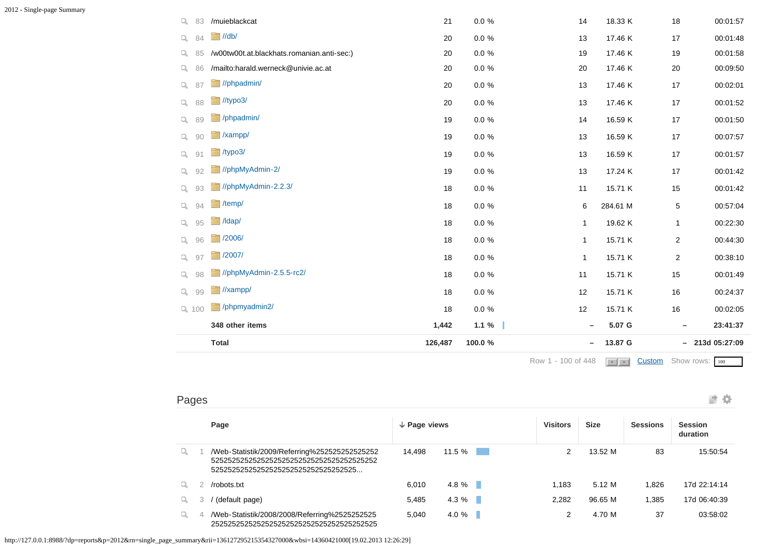|             |    |                                            |         |           | Row 1 - 100 of 448       | $\left  \cdot \right $ > $\left  \cdot \right $ | <b>Custom</b> Show rows: 100 |                  |
|-------------|----|--------------------------------------------|---------|-----------|--------------------------|-------------------------------------------------|------------------------------|------------------|
|             |    | <b>Total</b>                               | 126,487 | 100.0 %   | -                        | 13.87 G                                         |                              | $-213d$ 05:27:09 |
|             |    | 348 other items                            | 1,442   | 1.1%      | $\overline{\phantom{0}}$ | 5.07 G                                          |                              | 23:41:37         |
| Q 100       |    | /phpmyadmin2                               | 18      | $0.0\ \%$ | 12                       | 15.71 K                                         | 16                           | 00:02:05         |
| $Q_{\rm c}$ | 99 | //xampp/                                   | 18      | $0.0 \%$  | 12                       | 15.71 K                                         | 16                           | 00:24:37         |
| Q           | 98 | //phpMyAdmin-2.5.5-rc2/                    | 18      | $0.0 \%$  | 11                       | 15.71 K                                         | 15                           | 00:01:49         |
| $\Box$      | 97 | 72007/                                     | 18      | $0.0\ \%$ | $\mathbf{1}$             | 15.71 K                                         | 2                            | 00:38:10         |
| $Q_{\rm c}$ | 96 | 72006/                                     | 18      | $0.0 \%$  | $\mathbf{1}$             | 15.71 K                                         | $\overline{2}$               | 00:44:30         |
| $\alpha$    | 95 | $\blacksquare$ /ldap/                      | 18      | $0.0 \%$  | $\mathbf 1$              | 19.62 K                                         | $\mathbf{1}$                 | 00:22:30         |
| Q           | 94 | $t$ /temp/                                 | 18      | $0.0 \%$  | 6                        | 284.61 M                                        | 5                            | 00:57:04         |
| $\alpha$    | 93 | //phpMyAdmin-2.2.3/                        | 18      | $0.0 \%$  | 11                       | 15.71 K                                         | 15                           | 00:01:42         |
| $Q_{\rm c}$ | 92 | //phpMyAdmin-2/                            | 19      | $0.0 \%$  | 13                       | 17.24 K                                         | 17                           | 00:01:42         |
| q           | 91 | $t$ ypo3/                                  | 19      | $0.0 \%$  | 13                       | 16.59 K                                         | 17                           | 00:01:57         |
| q           | 90 | /xampp/                                    | 19      | $0.0 \%$  | 13                       | 16.59 K                                         | 17                           | 00:07:57         |
| q           | 89 | /phpadmin/                                 | 19      | $0.0 \%$  | 14                       | 16.59 K                                         | 17                           | 00:01:50         |
| $Q_{\rm c}$ | 88 | $\frac{1}{2}$ //typo3/                     | 20      | $0.0 \%$  | 13                       | 17.46 K                                         | 17                           | 00:01:52         |
| Q           | 87 | //phpadmin/                                | 20      | $0.0 \%$  | 13                       | 17.46 K                                         | 17                           | 00:02:01         |
| Q           | 86 | /mailto:harald.werneck@univie.ac.at        | 20      | $0.0\ \%$ | 20                       | 17.46 K                                         | $20\,$                       | 00:09:50         |
| Q.          | 85 | /w00tw00t.at.blackhats.romanian.anti-sec:) | 20      | $0.0 \%$  | 19                       | 17.46 K                                         | 19                           | 00:01:58         |
| Q           | 84 | $\Box$ //db/                               | 20      | $0.0 \%$  | 13                       | 17.46 K                                         | 17                           | 00:01:48         |
| q           | 83 | /muieblackcat                              | 21      | $0.0 \%$  | 14                       | 18.33 K                                         | 18                           | 00:01:57         |

| ___<br>Pages |  |  |
|--------------|--|--|
|              |  |  |

|    | Page        |                                                                                        | $\downarrow$ Page views |          | <b>Visitors</b> | <b>Size</b> | <b>Sessions</b> | <b>Session</b><br>duration |
|----|-------------|----------------------------------------------------------------------------------------|-------------------------|----------|-----------------|-------------|-----------------|----------------------------|
| q  |             | /Web-Statistik/2009/Referring%25252525252525252<br>52525252525252525252525252525252525 | 14.498                  | 11.5 %   |                 | 13.52 M     | 83              | 15:50:54                   |
|    | /robots.txt |                                                                                        | 6.010                   | $4.8 \%$ | 1.183           | 5.12 M      | 1,826           | 17d 22:14:14               |
| Q. |             | (default page)                                                                         | 5.485                   | $4.3 \%$ | 2.282           | 96.65 M     | 1.385           | 17d 06:40:39               |
| Q  |             | /Web-Statistik/2008/2008/Referring%2525252525                                          | 5.040                   | 4.0%     |                 | 4.70 M      | 37              | 03:58:02                   |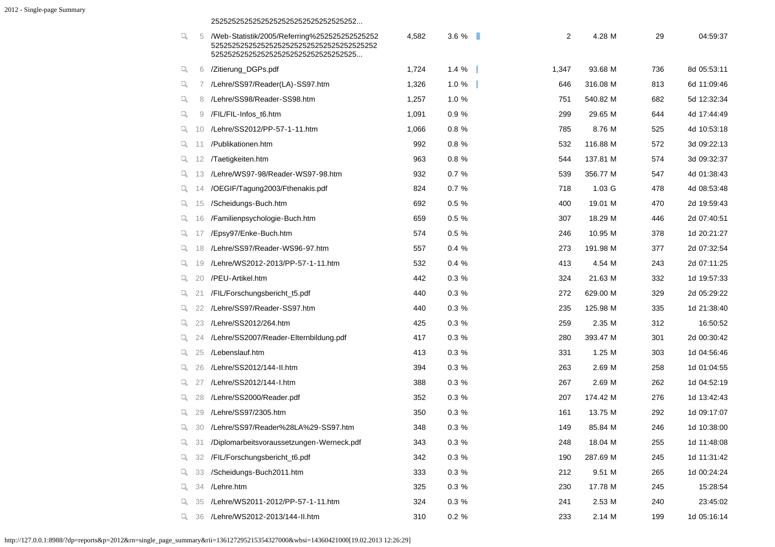#### 25252525252525252525252525252525252...

| q. | 5  | /Web-Statistik/2005/Referring%252525252525252<br>52525252525252525252525252525252525 | 4,582 | 3.6%     | 2     | 4.28 M   | 29  | 04:59:37    |
|----|----|--------------------------------------------------------------------------------------|-------|----------|-------|----------|-----|-------------|
| q  | 6  | /Zitierung_DGPs.pdf                                                                  | 1,724 | 1.4%     | 1,347 | 93.68 M  | 736 | 8d 05:53:11 |
| q. |    | /Lehre/SS97/Reader(LA)-SS97.htm                                                      | 1,326 | 1.0%     | 646   | 316.08 M | 813 | 6d 11:09:46 |
| Q, | 8  | /Lehre/SS98/Reader-SS98.htm                                                          | 1,257 | 1.0 %    | 751   | 540.82 M | 682 | 5d 12:32:34 |
| q  | 9  | /FIL/FIL-Infos_t6.htm                                                                | 1,091 | 0.9%     | 299   | 29.65 M  | 644 | 4d 17:44:49 |
| Q. | 10 | /Lehre/SS2012/PP-57-1-11.htm                                                         | 1,066 | 0.8 %    | 785   | 8.76 M   | 525 | 4d 10:53:18 |
| Q. | 11 | /Publikationen.htm                                                                   | 992   | 0.8%     | 532   | 116.88 M | 572 | 3d 09:22:13 |
| Q. | 12 | /Taetigkeiten.htm                                                                    | 963   | 0.8%     | 544   | 137.81 M | 574 | 3d 09:32:37 |
| ų. | 13 | /Lehre/WS97-98/Reader-WS97-98.htm                                                    | 932   | 0.7%     | 539   | 356.77 M | 547 | 4d 01:38:43 |
| Q. | 14 | /OEGIF/Tagung2003/Fthenakis.pdf                                                      | 824   | 0.7%     | 718   | 1.03 G   | 478 | 4d 08:53:48 |
| q. | 15 | /Scheidungs-Buch.htm                                                                 | 692   | $0.5 \%$ | 400   | 19.01 M  | 470 | 2d 19:59:43 |
| ų. | 16 | /Familienpsychologie-Buch.htm                                                        | 659   | 0.5%     | 307   | 18.29 M  | 446 | 2d 07:40:51 |
| Q. | 17 | /Epsy97/Enke-Buch.htm                                                                | 574   | $0.5 \%$ | 246   | 10.95 M  | 378 | 1d 20:21:27 |
| Q. | 18 | /Lehre/SS97/Reader-WS96-97.htm                                                       | 557   | 0.4%     | 273   | 191.98 M | 377 | 2d 07:32:54 |
| Q. | 19 | /Lehre/WS2012-2013/PP-57-1-11.htm                                                    | 532   | 0.4%     | 413   | 4.54 M   | 243 | 2d 07:11:25 |
| Q. | 20 | /PEU-Artikel.htm                                                                     | 442   | 0.3%     | 324   | 21.63 M  | 332 | 1d 19:57:33 |
| q. | 21 | /FIL/Forschungsbericht_t5.pdf                                                        | 440   | 0.3%     | 272   | 629.00 M | 329 | 2d 05:29:22 |
| Q. | 22 | /Lehre/SS97/Reader-SS97.htm                                                          | 440   | 0.3%     | 235   | 125.98 M | 335 | 1d 21:38:40 |
| Q. | 23 | /Lehre/SS2012/264.htm                                                                | 425   | 0.3%     | 259   | 2.35 M   | 312 | 16:50:52    |
| Q. | 24 | /Lehre/SS2007/Reader-Elternbildung.pdf                                               | 417   | 0.3%     | 280   | 393.47 M | 301 | 2d 00:30:42 |
| Q. | 25 | /Lebenslauf.htm                                                                      | 413   | 0.3%     | 331   | 1.25 M   | 303 | 1d 04:56:46 |
| Q. | 26 | /Lehre/SS2012/144-II.htm                                                             | 394   | 0.3%     | 263   | 2.69 M   | 258 | 1d 01:04:55 |
| Q. | 27 | /Lehre/SS2012/144-I.htm                                                              | 388   | 0.3%     | 267   | 2.69 M   | 262 | 1d 04:52:19 |
| Q. | 28 | /Lehre/SS2000/Reader.pdf                                                             | 352   | 0.3%     | 207   | 174.42 M | 276 | 1d 13:42:43 |
| Q. | 29 | /Lehre/SS97/2305.htm                                                                 | 350   | 0.3%     | 161   | 13.75 M  | 292 | 1d 09:17:07 |
| Q. | 30 | /Lehre/SS97/Reader%28LA%29-SS97.htm                                                  | 348   | 0.3%     | 149   | 85.84 M  | 246 | 1d 10:38:00 |
| q  | 31 | /Diplomarbeitsvoraussetzungen-Werneck.pdf                                            | 343   | 0.3%     | 248   | 18.04 M  | 255 | 1d 11:48:08 |
| Q. | 32 | /FIL/Forschungsbericht_t6.pdf                                                        | 342   | 0.3%     | 190   | 287.69 M | 245 | 1d 11:31:42 |
| Q. | 33 | /Scheidungs-Buch2011.htm                                                             | 333   | 0.3%     | 212   | 9.51 M   | 265 | 1d 00:24:24 |
| Q. | 34 | /Lehre.htm                                                                           | 325   | 0.3%     | 230   | 17.78 M  | 245 | 15:28:54    |
| Q. | 35 | /Lehre/WS2011-2012/PP-57-1-11.htm                                                    | 324   | 0.3 %    | 241   | 2.53 M   | 240 | 23:45:02    |
| q. | 36 | /Lehre/WS2012-2013/144-II.htm                                                        | 310   | $0.2 \%$ | 233   | 2.14 M   | 199 | 1d 05:16:14 |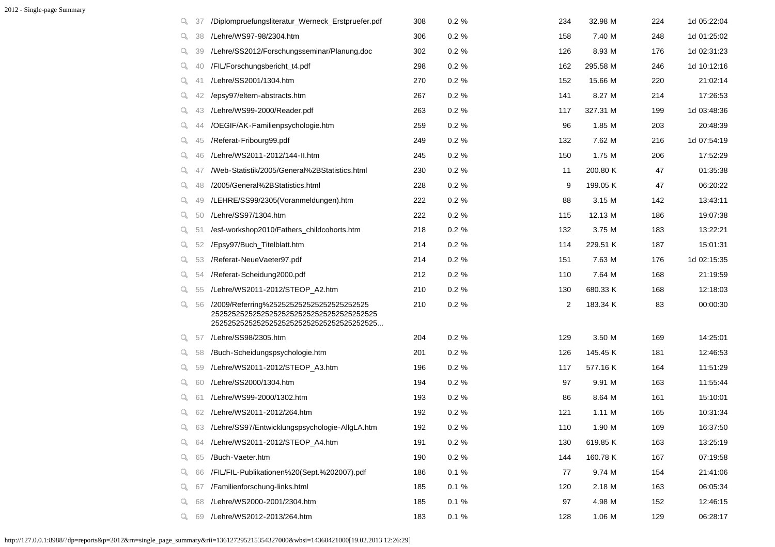| q           | 37 | /Diplompruefungsliteratur_Werneck_Erstpruefer.pdf | 308 | 0.2 %    | 234 | 32.98 M  | 224 | 1d 05:22:04 |
|-------------|----|---------------------------------------------------|-----|----------|-----|----------|-----|-------------|
| Q.          | 38 | /Lehre/WS97-98/2304.htm                           | 306 | 0.2 %    | 158 | 7.40 M   | 248 | 1d 01:25:02 |
| Q.          | 39 | /Lehre/SS2012/Forschungsseminar/Planung.doc       | 302 | 0.2%     | 126 | 8.93 M   | 176 | 1d 02:31:23 |
| Q.          | 40 | /FIL/Forschungsbericht_t4.pdf                     | 298 | $0.2 \%$ | 162 | 295.58 M | 246 | 1d 10:12:16 |
| Q.          | 41 | /Lehre/SS2001/1304.htm                            | 270 | $0.2 \%$ | 152 | 15.66 M  | 220 | 21:02:14    |
| Q.          | 42 | /epsy97/eltern-abstracts.htm                      | 267 | 0.2%     | 141 | 8.27 M   | 214 | 17:26:53    |
| Q.          | 43 | /Lehre/WS99-2000/Reader.pdf                       | 263 | 0.2%     | 117 | 327.31 M | 199 | 1d 03:48:36 |
| Q.          | 44 | /OEGIF/AK-Familienpsychologie.htm                 | 259 | $0.2 \%$ | 96  | 1.85 M   | 203 | 20:48:39    |
| $Q_{\rm c}$ | 45 | /Referat-Fribourg99.pdf                           | 249 | 0.2%     | 132 | 7.62 M   | 216 | 1d 07:54:19 |
| Q.          | 46 | /Lehre/WS2011-2012/144-II.htm                     | 245 | 0.2%     | 150 | 1.75 M   | 206 | 17:52:29    |
| Q.          | 47 | /Web-Statistik/2005/General%2BStatistics.html     | 230 | 0.2%     | 11  | 200.80 K | 47  | 01:35:38    |
| Q.          | 48 | /2005/General%2BStatistics.html                   | 228 | 0.2%     | 9   | 199.05 K | 47  | 06:20:22    |
| Q.          | 49 | /LEHRE/SS99/2305(Voranmeldungen).htm              | 222 | 0.2 %    | 88  | 3.15 M   | 142 | 13:43:11    |
| Q.          | 50 | /Lehre/SS97/1304.htm                              | 222 | $0.2 \%$ | 115 | 12.13 M  | 186 | 19:07:38    |
| Q.          | 51 | /esf-workshop2010/Fathers childcohorts.htm        | 218 | $0.2 \%$ | 132 | 3.75 M   | 183 | 13:22:21    |
| Q.          | 52 | /Epsy97/Buch_Titelblatt.htm                       | 214 | 0.2%     | 114 | 229.51 K | 187 | 15:01:31    |
| Q.          | 53 | /Referat-NeueVaeter97.pdf                         | 214 | 0.2%     | 151 | 7.63 M   | 176 | 1d 02:15:35 |
| Q.          | 54 | /Referat-Scheidung2000.pdf                        | 212 | 0.2 %    | 110 | 7.64 M   | 168 | 21:19:59    |
| Q.          | 55 | /Lehre/WS2011-2012/STEOP_A2.htm                   | 210 | $0.2 \%$ | 130 | 680.33 K | 168 | 12:18:03    |
| Q.          | 56 | /2009/Referring%252525252525252525252525          | 210 | $0.2 \%$ | 2   | 183.34 K | 83  | 00:00:30    |
| ч.          | 57 | /Lehre/SS98/2305.htm                              | 204 | $0.2 \%$ | 129 | 3.50 M   | 169 | 14:25:01    |
| Q.          | 58 | /Buch-Scheidungspsychologie.htm                   | 201 | $0.2 \%$ | 126 | 145.45 K | 181 | 12:46:53    |
| Q.          | 59 | /Lehre/WS2011-2012/STEOP_A3.htm                   | 196 | $0.2 \%$ | 117 | 577.16 K | 164 | 11:51:29    |
| Q.          | 60 | /Lehre/SS2000/1304.htm                            | 194 | 0.2%     | 97  | 9.91 M   | 163 | 11:55:44    |
| Q.          | 61 | /Lehre/WS99-2000/1302.htm                         | 193 | 0.2%     | 86  | 8.64 M   | 161 | 15:10:01    |
| Q.          | 62 | /Lehre/WS2011-2012/264.htm                        | 192 | 0.2 %    | 121 | 1.11 M   | 165 | 10:31:34    |
| q.          | 63 | /Lehre/SS97/Entwicklungspsychologie-AllgLA.htm    | 192 | 0.2 %    | 110 | 1.90 M   | 169 | 16:37:50    |
| Q.          | 64 | /Lehre/WS2011-2012/STEOP A4.htm                   | 191 | $0.2 \%$ | 130 | 619.85 K | 163 | 13:25:19    |
| Q.          | 65 | /Buch-Vaeter.htm                                  | 190 | $0.2 \%$ | 144 | 160.78 K | 167 | 07:19:58    |
| Q.          | 66 | /FIL/FIL-Publikationen%20(Sept.%202007).pdf       | 186 | 0.1%     | 77  | 9.74 M   | 154 | 21:41:06    |
| Q.          | 67 | /Familienforschung-links.html                     | 185 | 0.1%     | 120 | 2.18 M   | 163 | 06:05:34    |
| Q.          | 68 | /Lehre/WS2000-2001/2304.htm                       | 185 | 0.1%     | 97  | 4.98 M   | 152 | 12:46:15    |
| Q.          | 69 | /Lehre/WS2012-2013/264.htm                        | 183 | 0.1%     | 128 | 1.06 M   | 129 | 06:28:17    |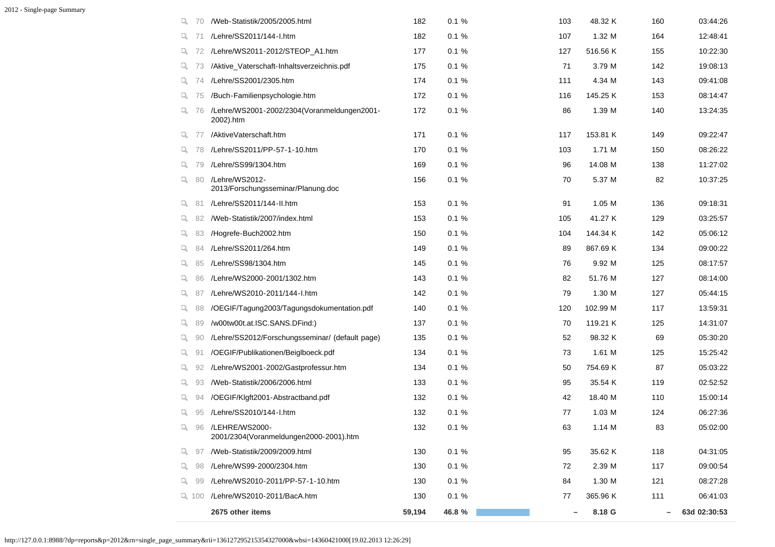| q  | 70        | /Web-Statistik/2005/2005.html                               | 182    | 0.1%   | 103 | 48.32 K  | 160 | 03:44:26     |
|----|-----------|-------------------------------------------------------------|--------|--------|-----|----------|-----|--------------|
| Q. | 71        | /Lehre/SS2011/144-I.htm                                     | 182    | 0.1%   | 107 | 1.32 M   | 164 | 12:48:41     |
| ч. | 72        | /Lehre/WS2011-2012/STEOP_A1.htm                             | 177    | 0.1%   | 127 | 516.56 K | 155 | 10:22:30     |
|    | Q $73$    | /Aktive_Vaterschaft-Inhaltsverzeichnis.pdf                  | 175    | 0.1%   | 71  | 3.79 M   | 142 | 19:08:13     |
| Q. | 74        | /Lehre/SS2001/2305.htm                                      | 174    | 0.1%   | 111 | 4.34 M   | 143 | 09:41:08     |
| Q. | 75        | /Buch-Familienpsychologie.htm                               | 172    | 0.1%   | 116 | 145.25 K | 153 | 08:14:47     |
| Q. | 76        | /Lehre/WS2001-2002/2304(Voranmeldungen2001-<br>2002).htm    | 172    | 0.1%   | 86  | 1.39 M   | 140 | 13:24:35     |
| Q. | -77       | /AktiveVaterschaft.htm                                      | 171    | 0.1%   | 117 | 153.81 K | 149 | 09:22:47     |
| Q. | 78        | /Lehre/SS2011/PP-57-1-10.htm                                | 170    | 0.1%   | 103 | 1.71 M   | 150 | 08:26:22     |
| Q. | 79        | /Lehre/SS99/1304.htm                                        | 169    | 0.1%   | 96  | 14.08 M  | 138 | 11:27:02     |
| Q. | 80        | /Lehre/WS2012-<br>2013/Forschungsseminar/Planung.doc        | 156    | 0.1%   | 70  | 5.37 M   | 82  | 10:37:25     |
| q. | 81        | /Lehre/SS2011/144-II.htm                                    | 153    | 0.1%   | 91  | 1.05 M   | 136 | 09:18:31     |
| Q. | 82        | /Web-Statistik/2007/index.html                              | 153    | 0.1%   | 105 | 41.27 K  | 129 | 03:25:57     |
| Q. | 83        | /Hogrefe-Buch2002.htm                                       | 150    | 0.1%   | 104 | 144.34 K | 142 | 05:06:12     |
| Q. | 84        | /Lehre/SS2011/264.htm                                       | 149    | 0.1%   | 89  | 867.69 K | 134 | 09:00:22     |
| Q. | 85        | /Lehre/SS98/1304.htm                                        | 145    | 0.1%   | 76  | 9.92 M   | 125 | 08:17:57     |
| Q. | 86        | /Lehre/WS2000-2001/1302.htm                                 | 143    | 0.1%   | 82  | 51.76 M  | 127 | 08:14:00     |
| ч. | 87        | /Lehre/WS2010-2011/144-I.htm                                | 142    | 0.1%   | 79  | 1.30 M   | 127 | 05:44:15     |
| q. | 88        | /OEGIF/Tagung2003/Tagungsdokumentation.pdf                  | 140    | 0.1%   | 120 | 102.99 M | 117 | 13:59:31     |
| Q. | 89        | /w00tw00t.at.ISC.SANS.DFind:)                               | 137    | 0.1%   | 70  | 119.21 K | 125 | 14:31:07     |
| q. | 90        | /Lehre/SS2012/Forschungsseminar/ (default page)             | 135    | 0.1%   | 52  | 98.32 K  | 69  | 05:30:20     |
| Q. | 91        | /OEGIF/Publikationen/Beiglboeck.pdf                         | 134    | 0.1%   | 73  | 1.61 M   | 125 | 15:25:42     |
| Q. | 92        | /Lehre/WS2001-2002/Gastprofessur.htm                        | 134    | 0.1%   | 50  | 754.69 K | 87  | 05:03:22     |
| Q. | 93        | /Web-Statistik/2006/2006.html                               | 133    | 0.1%   | 95  | 35.54 K  | 119 | 02:52:52     |
| Q. | 94        | /OEGIF/Klgft2001-Abstractband.pdf                           | 132    | 0.1%   | 42  | 18.40 M  | 110 | 15:00:14     |
| Q. | 95        | /Lehre/SS2010/144-I.htm                                     | 132    | 0.1%   | 77  | 1.03 M   | 124 | 06:27:36     |
| Q. |           | 96 /LEHRE/WS2000-<br>2001/2304(Voranmeldungen2000-2001).htm | 132    | 0.1%   | 63  | 1.14 M   | 83  | 05:02:00     |
| Q. | 97        | /Web-Statistik/2009/2009.html                               | 130    | 0.1%   | 95  | 35.62 K  | 118 | 04:31:05     |
| Q. | 98        | /Lehre/WS99-2000/2304.htm                                   | 130    | 0.1%   | 72  | 2.39 M   | 117 | 09:00:54     |
| ų. | 99        | /Lehre/WS2010-2011/PP-57-1-10.htm                           | 130    | 0.1%   | 84  | 1.30 M   | 121 | 08:27:28     |
|    | $Q_1$ 100 | /Lehre/WS2010-2011/BacA.htm                                 | 130    | 0.1%   | 77  | 365.96 K | 111 | 06:41:03     |
|    |           | 2675 other items                                            | 59,194 | 46.8 % |     | 8.18 G   |     | 63d 02:30:53 |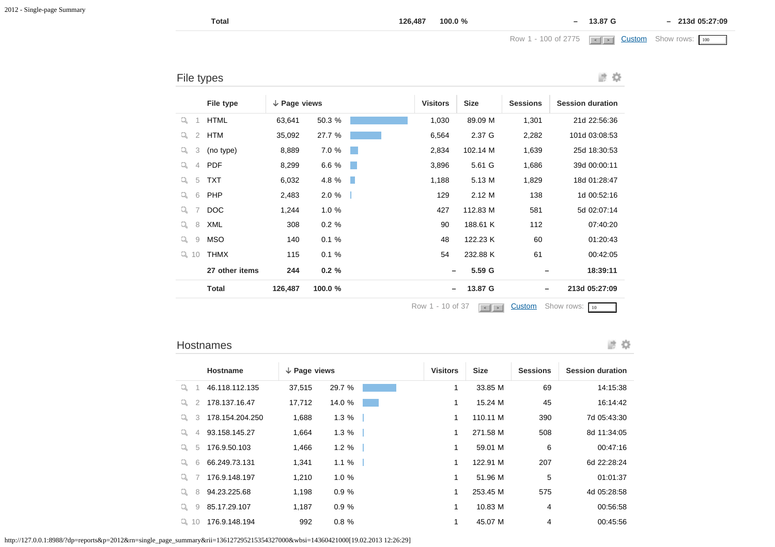File types

Row 1 - 100 of 2775 <sup>&</sup>lt; <sup>&</sup>gt; [Custom](javascript:;) Show rows: 100 < > 100

|                     | File type      | $\downarrow$ Page views |         |     | <b>Visitors</b> | <b>Size</b> | <b>Sessions</b> | <b>Session duration</b> |
|---------------------|----------------|-------------------------|---------|-----|-----------------|-------------|-----------------|-------------------------|
| Q.<br>-1            | <b>HTML</b>    | 63,641                  | 50.3 %  |     | 1,030           | 89.09 M     | 1,301           | 21d 22:56:36            |
| $\overline{2}$<br>q | HTM            | 35,092                  | 27.7 %  |     | 6,564           | 2.37 G      | 2,282           | 101d 03:08:53           |
| 3<br>Q              | (no type)      | 8,889                   | 7.0 %   |     | 2,834           | 102.14 M    | 1,639           | 25d 18:30:53            |
| $\overline{4}$<br>a | <b>PDF</b>     | 8,299                   | 6.6 %   | a s | 3,896           | 5.61 G      | 1,686           | 39d 00:00:11            |
| 5<br>Q              | <b>TXT</b>     | 6,032                   | 4.8 %   | ٠   | 1,188           | 5.13 M      | 1,829           | 18d 01:28:47            |
| 6<br>Q              | PHP            | 2,483                   | 2.0%    |     | 129             | 2.12M       | 138             | 1d 00:52:16             |
| 7<br>Q              | <b>DOC</b>     | 1,244                   | 1.0%    |     | 427             | 112.83 M    | 581             | 5d 02:07:14             |
| 8<br>Q              | XML            | 308                     | 0.2%    |     | 90              | 188.61 K    | 112             | 07:40:20                |
| 9<br>Q              | MSO            | 140                     | 0.1%    |     | 48              | 122.23 K    | 60              | 01:20:43                |
| Q<br>10             | <b>THMX</b>    | 115                     | 0.1%    |     | 54              | 232.88 K    | 61              | 00:42:05                |
|                     | 27 other items | 244                     | 0.2%    |     |                 | 5.59 G      |                 | 18:39:11                |
|                     | <b>Total</b>   | 126,487                 | 100.0 % |     | —               | 13.87 G     | -               | 213d 05:27:09           |
|                     |                |                         |         |     |                 |             |                 |                         |

Row 1 - 10 of 37  $\sqrt{2}$  [Custom](javascript:;) Show rows: 10

#### Hostnames

■ 章

|         | Hostname        | $\downarrow$ Page views |          | <b>Visitors</b> | <b>Size</b> | <b>Sessions</b> | <b>Session duration</b> |
|---------|-----------------|-------------------------|----------|-----------------|-------------|-----------------|-------------------------|
| u.      | 46.118.112.135  | 37,515                  | 29.7 %   |                 | 33.85 M     | 69              | 14:15:38                |
| 2<br>u  | 178.137.16.47   | 17,712                  | 14.0 %   |                 | 15.24 M     | 45              | 16:14:42                |
| 3<br>Q. | 178.154.204.250 | 1,688                   | 1.3%     |                 | 110.11 M    | 390             | 7d 05:43:30             |
| 4<br>u. | 93.158.145.27   | 1,664                   | 1.3%     |                 | 271.58 M    | 508             | 8d 11:34:05             |
| 5<br>u  | 176.9.50.103    | 1,466                   | $1.2 \%$ |                 | 59.01 M     | 6               | 00:47:16                |
| 6<br>u. | 66.249.73.131   | 1,341                   | 1.1%     |                 | 122.91 M    | 207             | 6d 22:28:24             |
| u       | 176.9.148.197   | 1,210                   | 1.0%     |                 | 51.96 M     | 5               | 01:01:37                |
| 8<br>u. | 94.23.225.68    | 1,198                   | 0.9%     |                 | 253.45 M    | 575             | 4d 05:28:58             |
| 9<br>Q  | 85.17.29.107    | 1,187                   | 0.9%     |                 | 10.83 M     | 4               | 00:56:58                |
| Q 10    | 176.9.148.194   | 992                     | 0.8%     |                 | 45.07 M     | 4               | 00:45:56                |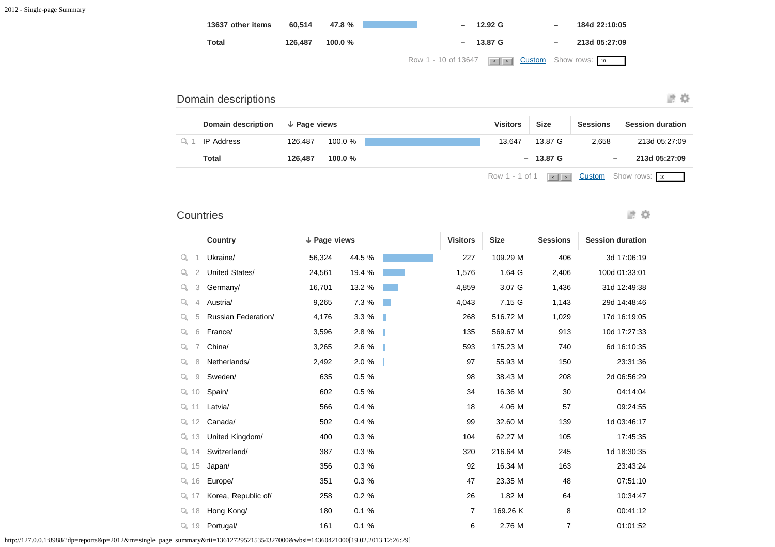| 13637 other items | 60.514  | 47.8 %  | $-12.92 \text{ G}$                                              | $\overline{\phantom{0}}$ | 184d 22:10:05 |
|-------------------|---------|---------|-----------------------------------------------------------------|--------------------------|---------------|
| Total             | 126.487 | 100.0 % | $-$ 13.87 G                                                     | $\overline{\phantom{m}}$ | 213d 05:27:09 |
|                   |         |         | Row 1 - 10 of 13647 $\left  \cdot \right $ Dustom Show rows: 10 |                          |               |

### 进收

# Domain descriptions **Domain description Page views Visitors Size Sessions Session duration** 0 1 IP Address 126,487 100.0 % 13,647 13,647 13.87 G 2,658 213d 05:27:09 **Total 126,487 100.0 % – 13.87 G – 213d 05:27:09**

Row 1 - 1 of 1  $\leq$   $\leq$  **[Custom](javascript:;)** Show rows:  $\frac{10}{10}$ 

### **Countries**

診察

|                     | Country             | $\downarrow$ Page views |             | <b>Visitors</b> | <b>Size</b> | <b>Sessions</b> | <b>Session duration</b> |
|---------------------|---------------------|-------------------------|-------------|-----------------|-------------|-----------------|-------------------------|
| Q<br>1              | Ukraine/            | 56,324                  | 44.5 %      | 227             | 109.29 M    | 406             | 3d 17:06:19             |
| Q<br>$\overline{2}$ | United States/      | 24,561                  | 19.4 %      | 1,576           | 1.64 G      | 2,406           | 100d 01:33:01           |
| Q<br>3              | Germany/            | 16,701                  | 13.2 %      | 4,859           | 3.07 G      | 1,436           | 31d 12:49:38            |
| Q<br>4              | Austria/            | 9,265                   | 7.3 %       | 4,043           | 7.15 G      | 1,143           | 29d 14:48:46            |
| Q<br>5              | Russian Federation/ | 4,176                   | 3.3 %<br>ш  | 268             | 516.72 M    | 1,029           | 17d 16:19:05            |
| Q<br>6              | France/             | 3,596                   | 2.8 %<br>٠  | 135             | 569.67 M    | 913             | 10d 17:27:33            |
| Q                   | China/              | 3,265                   | 2.6 %<br>H. | 593             | 175.23 M    | 740             | 6d 16:10:35             |
| Q<br>8              | Netherlands/        | 2,492                   | 2.0 %       | 97              | 55.93 M     | 150             | 23:31:36                |
| Q<br>9              | Sweden/             | 635                     | 0.5 %       | 98              | 38.43 M     | 208             | 2d 06:56:29             |
| Q.<br>10            | Spain/              | 602                     | 0.5%        | 34              | 16.36 M     | 30              | 04:14:04                |
| $Q_1$ 11            | Latvia/             | 566                     | 0.4%        | 18              | 4.06 M      | 57              | 09:24:55                |
| $Q$ 12              | Canada/             | 502                     | 0.4 %       | 99              | 32.60 M     | 139             | 1d 03:46:17             |
| Q.<br>13            | United Kingdom/     | 400                     | 0.3%        | 104             | 62.27 M     | 105             | 17:45:35                |
| Q.<br>14            | Switzerland/        | 387                     | 0.3%        | 320             | 216.64 M    | 245             | 1d 18:30:35             |
| $Q$ 15              | Japan/              | 356                     | 0.3%        | 92              | 16.34 M     | 163             | 23:43:24                |
| $Q$ 16              | Europe/             | 351                     | 0.3%        | 47              | 23.35 M     | 48              | 07:51:10                |
| $Q$ 17              | Korea, Republic of/ | 258                     | 0.2%        | 26              | 1.82 M      | 64              | 10:34:47                |
| $Q$ 18              | Hong Kong/          | 180                     | 0.1%        | 7               | 169.26 K    | 8               | 00:41:12                |
| $Q$ 19              | Portugal/           | 161                     | 0.1%        | 6               | 2.76 M      | 7               | 01:01:52                |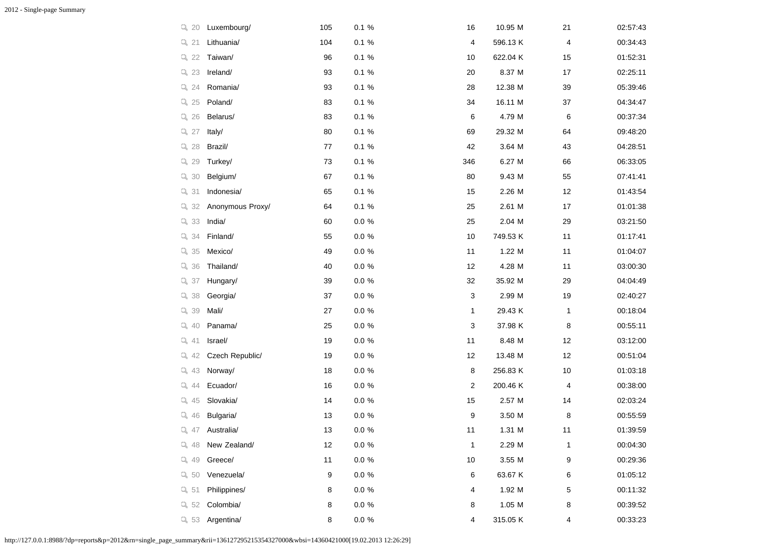| $Q$ 20            | Luxembourg/      | 105    | 0.1%     | 16           | 10.95 M  | 21           | 02:57:43 |
|-------------------|------------------|--------|----------|--------------|----------|--------------|----------|
| Q 21              | Lithuania/       | 104    | 0.1%     | 4            | 596.13K  | 4            | 00:34:43 |
| Q <sub>22</sub>   | Taiwan/          | 96     | 0.1%     | 10           | 622.04 K | 15           | 01:52:31 |
| $Q$ 23            | Ireland/         | 93     | 0.1 %    | 20           | 8.37 M   | 17           | 02:25:11 |
| $Q$ 24            | Romania/         | 93     | 0.1%     | 28           | 12.38 M  | 39           | 05:39:46 |
| $Q$ 25            | Poland/          | 83     | 0.1%     | 34           | 16.11 M  | 37           | 04:34:47 |
| $Q$ 26            | Belarus/         | 83     | 0.1 %    | 6            | 4.79 M   | 6            | 00:37:34 |
| $Q$ 27            | Italy/           | 80     | 0.1 %    | 69           | 29.32 M  | 64           | 09:48:20 |
| Q <sub>28</sub>   | Brazil/          | 77     | 0.1%     | 42           | 3.64 M   | 43           | 04:28:51 |
| $Q$ 29            | Turkey/          | 73     | 0.1 %    | 346          | 6.27 M   | 66           | 06:33:05 |
| $Qs$ 30           | Belgium/         | 67     | 0.1 %    | 80           | 9.43 M   | 55           | 07:41:41 |
| $Q$ 31            | Indonesia/       | 65     | 0.1 %    | 15           | 2.26 M   | 12           | 01:43:54 |
| $Q$ 32            | Anonymous Proxy/ | 64     | 0.1 %    | 25           | 2.61 M   | 17           | 01:01:38 |
| $Q$ 33            | India/           | 60     | $0.0 \%$ | 25           | 2.04 M   | 29           | 03:21:50 |
| $Q$ 34            | Finland/         | 55     | $0.0 \%$ | 10           | 749.53 K | 11           | 01:17:41 |
| $Q$ 35            | Mexico/          | 49     | 0.0%     | 11           | 1.22 M   | 11           | 01:04:07 |
| $Q$ 36            | Thailand/        | 40     | $0.0 \%$ | 12           | 4.28 M   | 11           | 03:00:30 |
| $Q$ 37            | Hungary/         | 39     | 0.0 %    | 32           | 35.92 M  | 29           | 04:04:49 |
| $Q$ 38            | Georgia/         | 37     | $0.0 \%$ | 3            | 2.99 M   | 19           | 02:40:27 |
| $Q$ 39            | Mali/            | 27     | 0.0%     | 1            | 29.43 K  | 1            | 00:18:04 |
| $Q$ 40            | Panama/          | 25     | $0.0 \%$ | 3            | 37.98 K  | 8            | 00:55:11 |
| $Q$ 41            | Israel/          | 19     | $0.0 \%$ | 11           | 8.48 M   | 12           | 03:12:00 |
| $Q$ 42            | Czech Republic/  | 19     | $0.0 \%$ | 12           | 13.48 M  | 12           | 00:51:04 |
| $Q$ 43            | Norway/          | 18     | $0.0 \%$ | 8            | 256.83 K | 10           | 01:03:18 |
| $Q$ 44            | Ecuador/         | $16\,$ | $0.0 \%$ | 2            | 200.46 K | 4            | 00:38:00 |
| $Q$ 45            | Slovakia/        | 14     | $0.0 \%$ | 15           | 2.57 M   | 14           | 02:03:24 |
| $Q$ 46            | Bulgaria/        | 13     | $0.0 \%$ | 9            | 3.50 M   | 8            | 00:55:59 |
| $Q$ 47            | Australia/       | 13     | $0.0 \%$ | 11           | 1.31 M   | 11           | 01:39:59 |
| Q 48              | New Zealand/     | 12     | $0.0 \%$ | $\mathbf{1}$ | 2.29 M   | $\mathbf{1}$ | 00:04:30 |
| $Q_4$ 49          | Greece/          | 11     | 0.0 %    | $10$         | 3.55 M   | 9            | 00:29:36 |
| Q <sub>50</sub>   | Venezuela/       | 9      | $0.0 \%$ | 6            | 63.67 K  | 6            | 01:05:12 |
| Q <sub>s</sub> 51 | Philippines/     | 8      | $0.0 \%$ | 4            | 1.92 M   | 5            | 00:11:32 |
| $Q_52$            | Colombia/        | 8      | $0.0 \%$ | 8            | 1.05 M   | 8            | 00:39:52 |
| $Q$ 53            | Argentina/       | 8      | $0.0 \%$ | 4            | 315.05 K | 4            | 00:33:23 |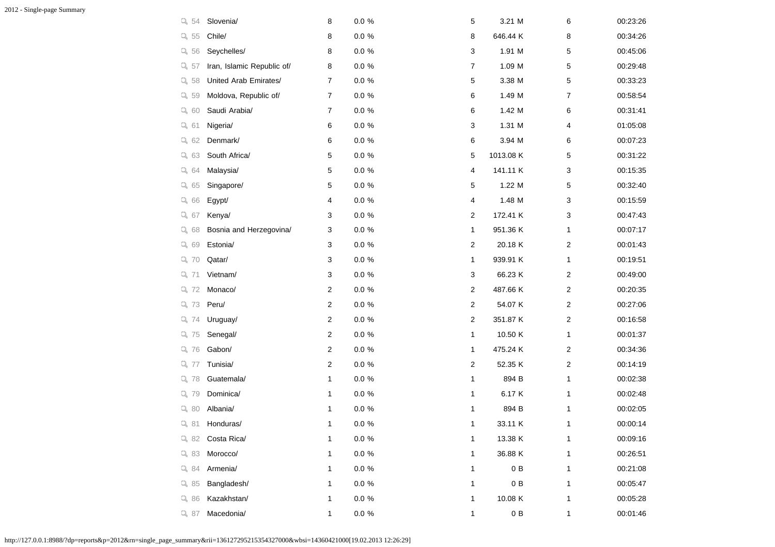| $Qs$ 54  | Slovenia/                  | 8              | $0.0 \%$  | 5              | 3.21 M    | 6 | 00:23:26 |
|----------|----------------------------|----------------|-----------|----------------|-----------|---|----------|
| Q 55     | Chile/                     | 8              | $0.0 \%$  | 8              | 646.44 K  | 8 | 00:34:26 |
| $Q_56$   | Seychelles/                | 8              | $0.0 \%$  | 3              | 1.91 M    | 5 | 00:45:06 |
| $Qs$ 57  | Iran, Islamic Republic of/ | 8              | $0.0 \%$  | 7              | 1.09 M    | 5 | 00:29:48 |
| $Qs$ 58  | United Arab Emirates/      | 7              | $0.0 \%$  | 5              | 3.38 M    | 5 | 00:33:23 |
| $Qs$ 59  | Moldova, Republic of/      | $\overline{7}$ | $0.0 \%$  | 6              | 1.49 M    | 7 | 00:58:54 |
| $Q_6$ 60 | Saudi Arabia/              | 7              | $0.0 \%$  | 6              | 1.42 M    | 6 | 00:31:41 |
| $Q_6$ 61 | Nigeria/                   | 6              | $0.0 \%$  | 3              | 1.31 M    | 4 | 01:05:08 |
| $Q_6 62$ | Denmark/                   | 6              | $0.0 \%$  | 6              | 3.94 M    | 6 | 00:07:23 |
| $Q_63$   | South Africa/              | 5              | $0.0 \%$  | 5              | 1013.08 K | 5 | 00:31:22 |
| $Q_6$ 64 | Malaysia/                  | 5              | $0.0\ \%$ | 4              | 141.11 K  | 3 | 00:15:35 |
| $Q_6$ 65 | Singapore/                 | 5              | $0.0 \%$  | 5              | 1.22 M    | 5 | 00:32:40 |
| $Q_66$   | Egypt/                     | 4              | $0.0 \%$  | 4              | 1.48 M    | 3 | 00:15:59 |
| $Q_67$   | Kenya/                     | 3              | $0.0 \%$  | 2              | 172.41 K  | 3 | 00:47:43 |
| $Q_68$   | Bosnia and Herzegovina/    | 3              | $0.0 \%$  | 1              | 951.36 K  | 1 | 00:07:17 |
| $Q_69$   | Estonia/                   | 3              | $0.0 \%$  | 2              | 20.18 K   | 2 | 00:01:43 |
| $Q$ 70   | Qatar/                     | 3              | $0.0 \%$  | 1              | 939.91 K  | 1 | 00:19:51 |
| Q, 71    | Vietnam/                   | 3              | $0.0 \%$  | 3              | 66.23 K   | 2 | 00:49:00 |
| $Q$ 72   | Monaco/                    | 2              | $0.0 \%$  | 2              | 487.66 K  | 2 | 00:20:35 |
| $Q$ 73   | Peru/                      | 2              | $0.0 \%$  | $\overline{c}$ | 54.07 K   | 2 | 00:27:06 |
| $Q$ 74   | Uruguay/                   | 2              | $0.0 \%$  | 2              | 351.87 K  | 2 | 00:16:58 |
| $Q$ 75   | Senegal/                   | 2              | $0.0 \%$  | 1              | 10.50 K   | 1 | 00:01:37 |
| Q 76     | Gabon/                     | 2              | $0.0 \%$  | 1              | 475.24 K  | 2 | 00:34:36 |
| Q 77     | Tunisia/                   | 2              | $0.0 \%$  | 2              | 52.35 K   | 2 | 00:14:19 |
| Q 78     | Guatemala/                 | 1              | $0.0 \%$  | 1              | 894 B     | 1 | 00:02:38 |
| $Q$ 79   | Dominica/                  | 1              | $0.0 \%$  | 1              | 6.17 K    | 1 | 00:02:48 |
| Q80      | Albania/                   | 1              | $0.0 \%$  | $\mathbf{1}$   | 894 B     | 1 | 00:02:05 |
| $Q_8$ 81 | Honduras/                  | 1              | $0.0 \%$  | $\mathbf{1}$   | 33.11 K   | 1 | 00:00:14 |
| Q82      | Costa Rica/                | 1              | $0.0 \%$  | 1              | 13.38 K   | 1 | 00:09:16 |
| $Q_8$ 83 | Morocco/                   | 1              | $0.0 \%$  | 1              | 36.88 K   | 1 | 00:26:51 |
| $Q_8$ 84 | Armenia/                   | 1              | $0.0\ \%$ | 1              | 0B        | 1 | 00:21:08 |
| $Q_8$ 85 | Bangladesh/                | 1              | $0.0 \%$  | 1              | 0B        | 1 | 00:05:47 |
| Q86      | Kazakhstan/                | 1              | $0.0 \%$  | 1              | 10.08 K   | 1 | 00:05:28 |
| $Q_8$ 87 | Macedonia/                 | 1              | $0.0\ \%$ | 1              | $0\,$ B   | 1 | 00:01:46 |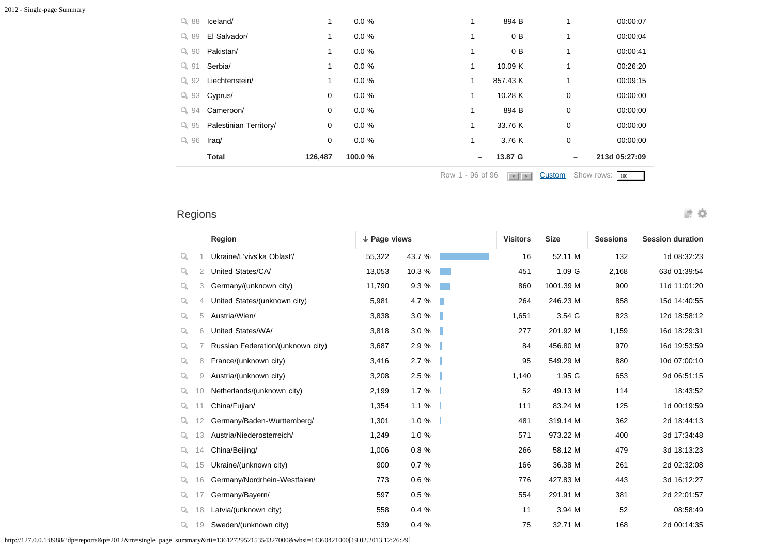| Q88            | Iceland/               | 1       | 0.0%    | 1                | 894 B                  | 1                        | 00:00:07       |
|----------------|------------------------|---------|---------|------------------|------------------------|--------------------------|----------------|
| Q89            | El Salvador/           |         | 0.0%    | 1                | 0 B                    | 1                        | 00:00:04       |
| $Q_{0}$ 90     | Pakistan/              | 1       | 0.0%    | 1                | 0 B                    | 1                        | 00:00:41       |
| $Q_8$ 91       | Serbia/                | 1       | 0.0%    | 1                | 10.09 K                | 1                        | 00:26:20       |
| $Q_{\rm s}$ 92 | Liechtenstein/         |         | 0.0%    | 1                | 857.43 K               | 1                        | 00:09:15       |
| $Q_{8}$ 93     | Cyprus/                | 0       | 0.0%    | 1                | 10.28 K                | $\mathbf 0$              | 00:00:00       |
| $Q_{\rm s}$ 94 | Cameroon/              | 0       | 0.0%    | 1                | 894 B                  | 0                        | 00:00:00       |
| $Q_{\rm s}$ 95 | Palestinian Territory/ | 0       | 0.0%    | 1                | 33.76 K                | 0                        | 00:00:00       |
| $Q_8$ 96       | Iraq/                  | 0       | 0.0%    | 1                | 3.76 K                 | $\mathbf 0$              | 00:00:00       |
|                | <b>Total</b>           | 126,487 | 100.0 % |                  | 13.87 G                | $\overline{\phantom{m}}$ | 213d 05:27:09  |
|                |                        |         |         | Row 1 - 96 of 96 | $\left  \cdot \right $ | Custom                   | Show rows: 100 |

Regions

|    |                | Region                            | $\downarrow$ Page views |        |   | <b>Visitors</b> | <b>Size</b> | <b>Sessions</b> | <b>Session duration</b> |
|----|----------------|-----------------------------------|-------------------------|--------|---|-----------------|-------------|-----------------|-------------------------|
| Q  |                | Ukraine/L'vivs'ka Oblast'/        | 55,322                  | 43.7 % |   | 16              | 52.11 M     | 132             | 1d 08:32:23             |
| Q  | 2              | United States/CA/                 | 13,053                  | 10.3 % |   | 451             | 1.09 G      | 2,168           | 63d 01:39:54            |
| Q  | 3              | Germany/(unknown city)            | 11,790                  | 9.3 %  |   | 860             | 1001.39 M   | 900             | 11d 11:01:20            |
| Q  | $\overline{4}$ | United States/(unknown city)      | 5,981                   | 4.7 %  | × | 264             | 246.23 M    | 858             | 15d 14:40:55            |
| Q  | 5              | Austria/Wien/                     | 3,838                   | 3.0%   | п | 1,651           | 3.54 G      | 823             | 12d 18:58:12            |
| Q  | 6              | United States/WA/                 | 3,818                   | 3.0%   | п | 277             | 201.92 M    | 1,159           | 16d 18:29:31            |
| Q  |                | Russian Federation/(unknown city) | 3,687                   | 2.9 %  |   | 84              | 456.80 M    | 970             | 16d 19:53:59            |
| q. | 8              | France/(unknown city)             | 3,416                   | 2.7%   |   | 95              | 549.29 M    | 880             | 10d 07:00:10            |
| Q  | 9              | Austria/(unknown city)            | 3,208                   | 2.5%   |   | 1,140           | 1.95 G      | 653             | 9d 06:51:15             |
| Q. | 10             | Netherlands/(unknown city)        | 2,199                   | 1.7%   |   | 52              | 49.13 M     | 114             | 18:43:52                |
| Q  |                | China/Fujian/                     | 1,354                   | 1.1%   |   | 111             | 83.24 M     | 125             | 1d 00:19:59             |
| Q. |                | Germany/Baden-Wurttemberg/        | 1,301                   | 1.0%   |   | 481             | 319.14 M    | 362             | 2d 18:44:13             |
| Q. | 13             | Austria/Niederosterreich/         | 1,249                   | 1.0%   |   | 571             | 973.22 M    | 400             | 3d 17:34:48             |
| Q. | 14             | China/Beijing/                    | 1,006                   | 0.8%   |   | 266             | 58.12 M     | 479             | 3d 18:13:23             |
| Q  | 15             | Ukraine/(unknown city)            | 900                     | 0.7%   |   | 166             | 36.38 M     | 261             | 2d 02:32:08             |
| Q. | 16             | Germany/Nordrhein-Westfalen/      | 773                     | 0.6%   |   | 776             | 427.83 M    | 443             | 3d 16:12:27             |
| Q  |                | Germany/Bayern/                   | 597                     | 0.5%   |   | 554             | 291.91 M    | 381             | 2d 22:01:57             |
| Q. | 18             | Latvia/(unknown city)             | 558                     | 0.4%   |   | 11              | 3.94 M      | 52              | 08:58:49                |
| Q. | 19             | Sweden/(unknown city)             | 539                     | 0.4%   |   | 75              | 32.71 M     | 168             | 2d 00:14:35             |

波章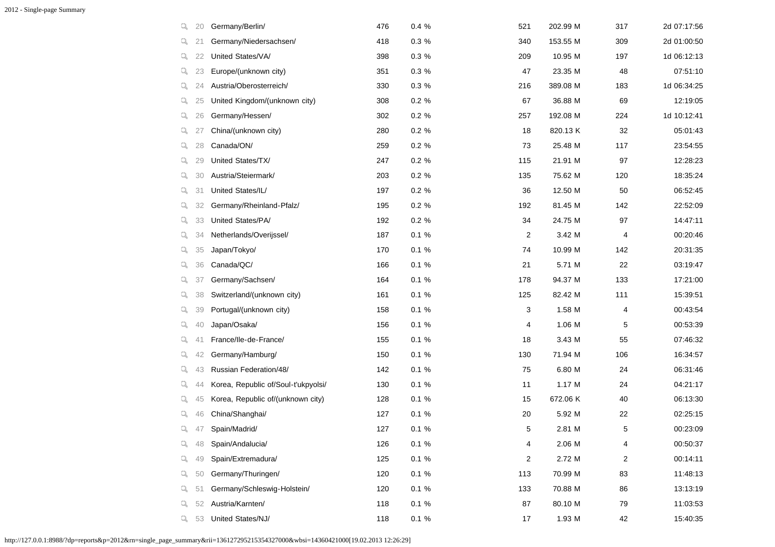| q. | 20 | Germany/Berlin/                     | 476 | 0.4%  | 521 | 202.99 M | 317            | 2d 07:17:56 |
|----|----|-------------------------------------|-----|-------|-----|----------|----------------|-------------|
| q  | 21 | Germany/Niedersachsen/              | 418 | 0.3 % | 340 | 153.55 M | 309            | 2d 01:00:50 |
| Q. | 22 | United States/VA/                   | 398 | 0.3%  | 209 | 10.95 M  | 197            | 1d 06:12:13 |
| Q. | 23 | Europe/(unknown city)               | 351 | 0.3%  | 47  | 23.35 M  | 48             | 07:51:10    |
| Q. | 24 | Austria/Oberosterreich/             | 330 | 0.3%  | 216 | 389.08 M | 183            | 1d 06:34:25 |
| q. | 25 | United Kingdom/(unknown city)       | 308 | 0.2%  | 67  | 36.88 M  | 69             | 12:19:05    |
| q. | 26 | Germany/Hessen/                     | 302 | 0.2%  | 257 | 192.08 M | 224            | 1d 10:12:41 |
| Q. | 27 | China/(unknown city)                | 280 | 0.2 % | 18  | 820.13 K | 32             | 05:01:43    |
| q  | 28 | Canada/ON/                          | 259 | 0.2%  | 73  | 25.48 M  | 117            | 23:54:55    |
| Q. | 29 | United States/TX/                   | 247 | 0.2%  | 115 | 21.91 M  | 97             | 12:28:23    |
| Q. | 30 | Austria/Steiermark/                 | 203 | 0.2%  | 135 | 75.62 M  | 120            | 18:35:24    |
| q  | 31 | United States/IL/                   | 197 | 0.2 % | 36  | 12.50 M  | 50             | 06:52:45    |
| q. | 32 | Germany/Rheinland-Pfalz/            | 195 | 0.2%  | 192 | 81.45 M  | 142            | 22:52:09    |
| Q. | 33 | United States/PA/                   | 192 | 0.2%  | 34  | 24.75 M  | 97             | 14:47:11    |
| Q. | 34 | Netherlands/Overijssel/             | 187 | 0.1%  | 2   | 3.42 M   | 4              | 00:20:46    |
| q  | 35 | Japan/Tokyo/                        | 170 | 0.1%  | 74  | 10.99 M  | 142            | 20:31:35    |
| Q. | 36 | Canada/QC/                          | 166 | 0.1%  | 21  | 5.71 M   | 22             | 03:19:47    |
| Q. | 37 | Germany/Sachsen/                    | 164 | 0.1 % | 178 | 94.37 M  | 133            | 17:21:00    |
| q  | 38 | Switzerland/(unknown city)          | 161 | 0.1 % | 125 | 82.42 M  | 111            | 15:39:51    |
| q  | 39 | Portugal/(unknown city)             | 158 | 0.1%  | 3   | 1.58 M   | 4              | 00:43:54    |
| Q. | 40 | Japan/Osaka/                        | 156 | 0.1%  | 4   | 1.06 M   | 5              | 00:53:39    |
| Q. | 41 | France/lle-de-France/               | 155 | 0.1%  | 18  | 3.43 M   | 55             | 07:46:32    |
| q  | 42 | Germany/Hamburg/                    | 150 | 0.1%  | 130 | 71.94 M  | 106            | 16:34:57    |
| Q. | 43 | Russian Federation/48/              | 142 | 0.1%  | 75  | 6.80 M   | 24             | 06:31:46    |
| Q. | 44 | Korea, Republic of/Soul-t'ukpyolsi/ | 130 | 0.1 % | 11  | 1.17 M   | 24             | 04:21:17    |
| Q. | 45 | Korea, Republic of/(unknown city)   | 128 | 0.1%  | 15  | 672.06 K | 40             | 06:13:30    |
| Q. | 46 | China/Shanghai/                     | 127 | 0.1%  | 20  | 5.92 M   | 22             | 02:25:15    |
| Q. | 47 | Spain/Madrid/                       | 127 | 0.1 % | 5   | 2.81 M   | 5              | 00:23:09    |
| Q. | 48 | Spain/Andalucia/                    | 126 | 0.1%  | 4   | 2.06 M   | 4              | 00:50:37    |
| Q. | 49 | Spain/Extremadura/                  | 125 | 0.1 % | 2   | 2.72 M   | $\overline{c}$ | 00:14:11    |
| Q. | 50 | Germany/Thuringen/                  | 120 | 0.1%  | 113 | 70.99 M  | 83             | 11:48:13    |
| q. | 51 | Germany/Schleswig-Holstein/         | 120 | 0.1%  | 133 | 70.88 M  | 86             | 13:13:19    |
| q. | 52 | Austria/Karnten/                    | 118 | 0.1%  | 87  | 80.10 M  | 79             | 11:03:53    |
| ц. | 53 | United States/NJ/                   | 118 | 0.1 % | 17  | 1.93 M   | 42             | 15:40:35    |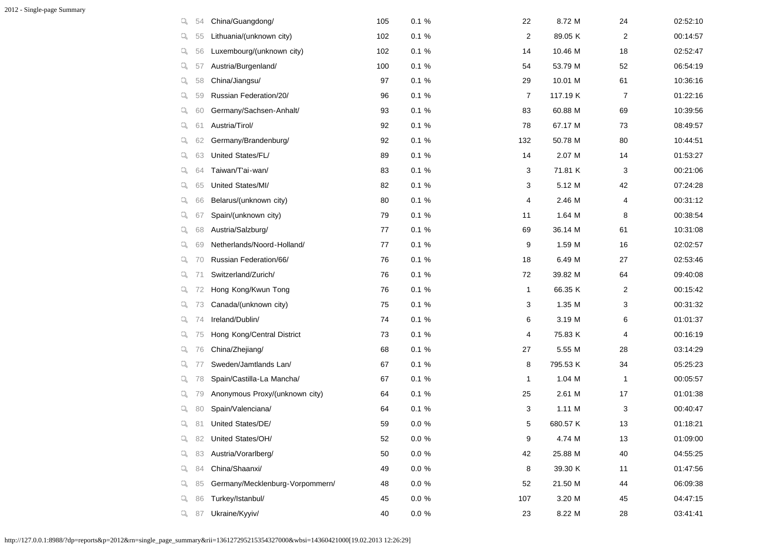| q, | 54 | China/Guangdong/                | 105 | 0.1%      | 22             | 8.72 M   | 24 | 02:52:10 |
|----|----|---------------------------------|-----|-----------|----------------|----------|----|----------|
| q. | 55 | Lithuania/(unknown city)        | 102 | 0.1%      | $\overline{c}$ | 89.05 K  | 2  | 00:14:57 |
| Q. | 56 | Luxembourg/(unknown city)       | 102 | 0.1%      | 14             | 10.46 M  | 18 | 02:52:47 |
| Q. | 57 | Austria/Burgenland/             | 100 | $0.1 \%$  | 54             | 53.79 M  | 52 | 06:54:19 |
| q  | 58 | China/Jiangsu/                  | 97  | 0.1%      | 29             | 10.01 M  | 61 | 10:36:16 |
| q, | 59 | Russian Federation/20/          | 96  | 0.1%      | $\overline{7}$ | 117.19 K | 7  | 01:22:16 |
| q, | 60 | Germany/Sachsen-Anhalt/         | 93  | 0.1%      | 83             | 60.88 M  | 69 | 10:39:56 |
| q, | 61 | Austria/Tirol/                  | 92  | 0.1%      | 78             | 67.17 M  | 73 | 08:49:57 |
| q. | 62 | Germany/Brandenburg/            | 92  | 0.1%      | 132            | 50.78 M  | 80 | 10:44:51 |
| q. | 63 | United States/FL/               | 89  | $0.1 \%$  | 14             | 2.07 M   | 14 | 01:53:27 |
| q, | 64 | Taiwan/T'ai-wan/                | 83  | 0.1%      | 3              | 71.81 K  | 3  | 00:21:06 |
| q  | 65 | United States/MI/               | 82  | 0.1%      | 3              | 5.12 M   | 42 | 07:24:28 |
| q, | 66 | Belarus/(unknown city)          | 80  | 0.1%      | 4              | 2.46 M   | 4  | 00:31:12 |
| q. | 67 | Spain/(unknown city)            | 79  | 0.1%      | 11             | 1.64 M   | 8  | 00:38:54 |
| ų. | 68 | Austria/Salzburg/               | 77  | 0.1%      | 69             | 36.14 M  | 61 | 10:31:08 |
| q, | 69 | Netherlands/Noord-Holland/      | 77  | 0.1%      | 9              | 1.59 M   | 16 | 02:02:57 |
| Q. | 70 | Russian Federation/66/          | 76  | 0.1%      | 18             | 6.49 M   | 27 | 02:53:46 |
| Q. | 71 | Switzerland/Zurich/             | 76  | 0.1%      | 72             | 39.82 M  | 64 | 09:40:08 |
| q. | 72 | Hong Kong/Kwun Tong             | 76  | 0.1%      | 1              | 66.35 K  | 2  | 00:15:42 |
| q. | 73 | Canada/(unknown city)           | 75  | 0.1%      | 3              | 1.35 M   | 3  | 00:31:32 |
| Q. | 74 | Ireland/Dublin/                 | 74  | $0.1 \%$  | 6              | 3.19 M   | 6  | 01:01:37 |
| Q. | 75 | Hong Kong/Central District      | 73  | 0.1%      | 4              | 75.83 K  | 4  | 00:16:19 |
| q. | 76 | China/Zhejiang/                 | 68  | 0.1%      | 27             | 5.55 M   | 28 | 03:14:29 |
| Q. | 77 | Sweden/Jamtlands Lan/           | 67  | $0.1 \%$  | 8              | 795.53 K | 34 | 05:25:23 |
| Q. | 78 | Spain/Castilla-La Mancha/       | 67  | 0.1%      | 1              | 1.04 M   | 1  | 00:05:57 |
| Q. | 79 | Anonymous Proxy/(unknown city)  | 64  | 0.1%      | 25             | 2.61 M   | 17 | 01:01:38 |
| q, | 80 | Spain/Valenciana/               | 64  | 0.1%      | 3              | 1.11 M   | 3  | 00:40:47 |
| q  | 81 | United States/DE/               | 59  | $0.0 \%$  | 5              | 680.57 K | 13 | 01:18:21 |
| Q, | 82 | United States/OH/               | 52  | $0.0 \%$  | 9              | 4.74 M   | 13 | 01:09:00 |
| Q. | 83 | Austria/Vorarlberg/             | 50  | $0.0 \%$  | 42             | 25.88 M  | 40 | 04:55:25 |
| q. | 84 | China/Shaanxi/                  | 49  | $0.0 \%$  | 8              | 39.30 K  | 11 | 01:47:56 |
| Q. | 85 | Germany/Mecklenburg-Vorpommern/ | 48  | $0.0 \%$  | 52             | 21.50 M  | 44 | 06:09:38 |
| q, | 86 | Turkey/Istanbul/                | 45  | $0.0 \%$  | 107            | 3.20 M   | 45 | 04:47:15 |
| q. | 87 | Ukraine/Kyyiv/                  | 40  | $0.0\ \%$ | 23             | 8.22 M   | 28 | 03:41:41 |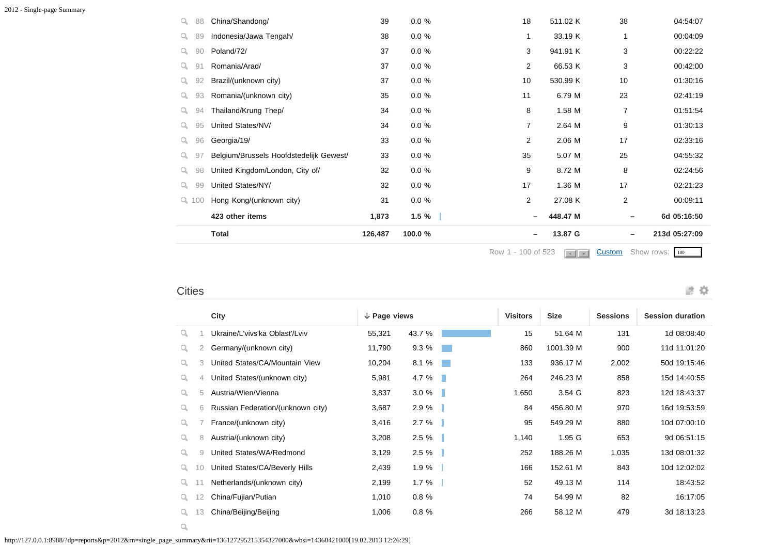|   |        | <b>Total</b>                            | 126,487 | 100.0 %  |                | 13.87 G<br>$\overline{\phantom{m}}$  | $\overline{\phantom{m}}$     | 213d 05:27:09 |
|---|--------|-----------------------------------------|---------|----------|----------------|--------------------------------------|------------------------------|---------------|
|   |        | 423 other items                         | 1,873   | $1.5 \%$ |                | 448.47 M<br>$\overline{\phantom{m}}$ | $\qquad \qquad \blacksquare$ | 6d 05:16:50   |
|   | Q, 100 | Hong Kong/(unknown city)                | 31      | $0.0 \%$ | $\overline{2}$ | 27.08 K                              | $\overline{2}$               | 00:09:11      |
| Q | 99     | United States/NY/                       | 32      | $0.0 \%$ | 17             | 1.36 M                               | 17                           | 02:21:23      |
| Q | 98     | United Kingdom/London, City of/         | 32      | $0.0 \%$ | 9              | 8.72 M                               | 8                            | 02:24:56      |
| Q | 97     | Belgium/Brussels Hoofdstedelijk Gewest/ | 33      | $0.0 \%$ | 35             | 5.07 M                               | 25                           | 04:55:32      |
| q | 96     | Georgia/19/                             | 33      | $0.0 \%$ | $\overline{2}$ | 2.06 M                               | 17                           | 02:33:16      |
| Q | 95     | United States/NV/                       | 34      | $0.0 \%$ | $\overline{7}$ | 2.64 M                               | 9                            | 01:30:13      |
| Q | 94     | Thailand/Krung Thep/                    | 34      | $0.0 \%$ | 8              | 1.58 M                               | 7                            | 01:51:54      |
| Q | 93     | Romania/(unknown city)                  | 35      | $0.0 \%$ | 11             | 6.79 M                               | 23                           | 02:41:19      |
| Q | 92     | Brazil/(unknown city)                   | 37      | $0.0 \%$ | 10             | 530.99 K                             | 10                           | 01:30:16      |
|   | 91     | Romania/Arad/                           | 37      | $0.0 \%$ | $\overline{2}$ | 66.53 K                              | 3                            | 00:42:00      |
| Q | 90     | Poland/72/                              | 37      | $0.0 \%$ | 3              | 941.91 K                             | 3                            | 00:22:22      |
| Q | 89     | Indonesia/Jawa Tengah/                  | 38      | $0.0 \%$ | 1              | 33.19 K                              | 1                            | 00:04:09      |
| Q | 88     | China/Shandong/                         | 39      | $0.0 \%$ | 18             | 511.02 K                             | 38                           | 04:54:07      |

Row 1 - 100 of 523 **c c [Custom](javascript:;)** Show rows: 100

波章

#### **Cities**

|    |    | City<br>$\downarrow$ Page views   |        |          |      | <b>Visitors</b> | <b>Size</b> | <b>Sessions</b> | <b>Session duration</b> |
|----|----|-----------------------------------|--------|----------|------|-----------------|-------------|-----------------|-------------------------|
| Q. |    | Ukraine/L'vivs'ka Oblast'/Lviv    | 55,321 | 43.7 %   |      | 15              | 51.64 M     | 131             | 1d 08:08:40             |
| Q  | 2  | Germany/(unknown city)            | 11,790 | 9.3%     |      | 860             | 1001.39 M   | 900             | 11d 11:01:20            |
| Q  | 3  | United States/CA/Mountain View    | 10,204 | 8.1 %    |      | 133             | 936.17 M    | 2,002           | 50d 19:15:46            |
| Q  | 4  | United States/(unknown city)      | 5,981  | 4.7%     | a ka | 264             | 246.23 M    | 858             | 15d 14:40:55            |
| Q  | 5  | Austria/Wien/Vienna               | 3,837  | $3.0 \%$ |      | 1,650           | 3.54 G      | 823             | 12d 18:43:37            |
| Q. | 6  | Russian Federation/(unknown city) | 3,687  | 2.9%     |      | 84              | 456.80 M    | 970             | 16d 19:53:59            |
| Q  |    | France/(unknown city)             | 3,416  | 2.7%     |      | 95              | 549.29 M    | 880             | 10d 07:00:10            |
| Q  | 8  | Austria/(unknown city)            | 3,208  | $2.5 \%$ |      | 1,140           | 1.95 G      | 653             | 9d 06:51:15             |
| Q  | 9  | United States/WA/Redmond          | 3,129  | 2.5%     |      | 252             | 188.26 M    | 1,035           | 13d 08:01:32            |
| Q. | 10 | United States/CA/Beverly Hills    | 2,439  | 1.9%     |      | 166             | 152.61 M    | 843             | 10d 12:02:02            |
| Q. |    | Netherlands/(unknown city)        | 2,199  | 1.7%     |      | 52              | 49.13 M     | 114             | 18:43:52                |
| Q. | 12 | China/Fujian/Putian               | 1,010  | 0.8%     |      | 74              | 54.99 M     | 82              | 16:17:05                |
| Q. | 13 | China/Beijing/Beijing             | 1,006  | 0.8%     |      | 266             | 58.12 M     | 479             | 3d 18:13:23             |

 $\mathbb{Q}_i$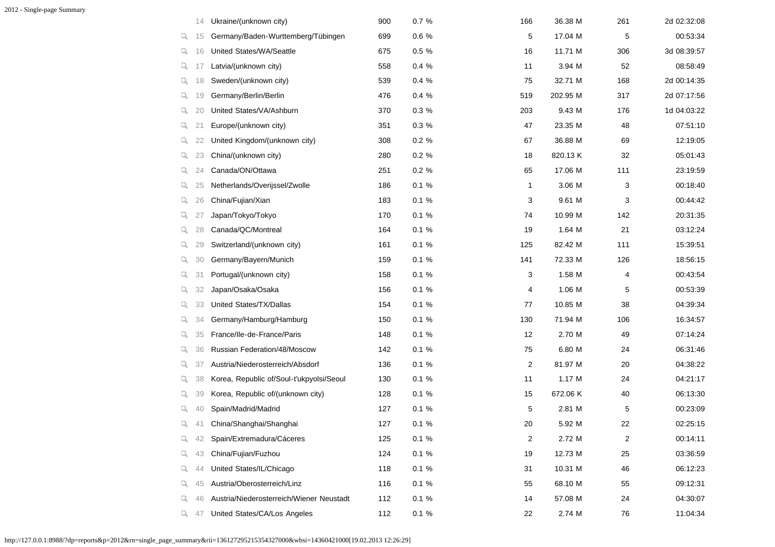|    | 14  | Ukraine/(unknown city)                   | 900 | 0.7%     | 166 | 36.38 M  | 261 | 2d 02:32:08 |
|----|-----|------------------------------------------|-----|----------|-----|----------|-----|-------------|
| Q. | 15  | Germany/Baden-Wurttemberg/Tübingen       | 699 | 0.6 %    | 5   | 17.04 M  | 5   | 00:53:34    |
| Q. | 16  | United States/WA/Seattle                 | 675 | 0.5 %    | 16  | 11.71 M  | 306 | 3d 08:39:57 |
| ų. | -17 | Latvia/(unknown city)                    | 558 | 0.4 %    | 11  | 3.94 M   | 52  | 08:58:49    |
| Q. | 18  | Sweden/(unknown city)                    | 539 | 0.4%     | 75  | 32.71 M  | 168 | 2d 00:14:35 |
| Q. | 19  | Germany/Berlin/Berlin                    | 476 | 0.4%     | 519 | 202.95 M | 317 | 2d 07:17:56 |
| Q. | 20  | United States/VA/Ashburn                 | 370 | 0.3 %    | 203 | 9.43 M   | 176 | 1d 04:03:22 |
| Q. | 21  | Europe/(unknown city)                    | 351 | 0.3%     | 47  | 23.35 M  | 48  | 07:51:10    |
| q. | 22  | United Kingdom/(unknown city)            | 308 | $0.2 \%$ | 67  | 36.88 M  | 69  | 12:19:05    |
| Q. | 23  | China/(unknown city)                     | 280 | $0.2 \%$ | 18  | 820.13 K | 32  | 05:01:43    |
| Q. | 24  | Canada/ON/Ottawa                         | 251 | $0.2 \%$ | 65  | 17.06 M  | 111 | 23:19:59    |
| Q. | 25  | Netherlands/Overijssel/Zwolle            | 186 | $0.1 \%$ | 1   | 3.06 M   | 3   | 00:18:40    |
| Q. | 26  | China/Fujian/Xian                        | 183 | $0.1 \%$ | 3   | 9.61 M   | 3   | 00:44:42    |
| ų. | 27  | Japan/Tokyo/Tokyo                        | 170 | $0.1 \%$ | 74  | 10.99 M  | 142 | 20:31:35    |
| Q. | 28  | Canada/QC/Montreal                       | 164 | 0.1%     | 19  | 1.64 M   | 21  | 03:12:24    |
| Q. | 29  | Switzerland/(unknown city)               | 161 | $0.1 \%$ | 125 | 82.42 M  | 111 | 15:39:51    |
| Q. | 30  | Germany/Bayern/Munich                    | 159 | 0.1%     | 141 | 72.33 M  | 126 | 18:56:15    |
| Q. | 31  | Portugal/(unknown city)                  | 158 | $0.1 \%$ | 3   | 1.58 M   | 4   | 00:43:54    |
| Q. | 32  | Japan/Osaka/Osaka                        | 156 | $0.1 \%$ | 4   | 1.06 M   | 5   | 00:53:39    |
| Q. | 33  | United States/TX/Dallas                  | 154 | $0.1 \%$ | 77  | 10.85 M  | 38  | 04:39:34    |
| Q. | 34  | Germany/Hamburg/Hamburg                  | 150 | $0.1 \%$ | 130 | 71.94 M  | 106 | 16:34:57    |
| Q. | 35  | France/Ile-de-France/Paris               | 148 | 0.1%     | 12  | 2.70 M   | 49  | 07:14:24    |
| Q. | 36  | Russian Federation/48/Moscow             | 142 | 0.1%     | 75  | 6.80 M   | 24  | 06:31:46    |
| Q. | 37  | Austria/Niederosterreich/Absdorf         | 136 | 0.1%     | 2   | 81.97 M  | 20  | 04:38:22    |
| Q. | 38  | Korea, Republic of/Soul-t'ukpyolsi/Seoul | 130 | 0.1%     | 11  | 1.17 M   | 24  | 04:21:17    |
| Q. | 39  | Korea, Republic of/(unknown city)        | 128 | 0.1%     | 15  | 672.06 K | 40  | 06:13:30    |
| Q. | 40  | Spain/Madrid/Madrid                      | 127 | 0.1%     | 5   | 2.81 M   | 5   | 00:23:09    |
| Q. | 41  | China/Shanghai/Shanghai                  | 127 | 0.1%     | 20  | 5.92 M   | 22  | 02:25:15    |
| Q. | 42  | Spain/Extremadura/Cáceres                | 125 | 0.1 %    | 2   | 2.72 M   | 2   | 00:14:11    |
| Q. | 43  | China/Fujian/Fuzhou                      | 124 | 0.1%     | 19  | 12.73 M  | 25  | 03:36:59    |
| Q. | 44  | United States/IL/Chicago                 | 118 | 0.1 %    | 31  | 10.31 M  | 46  | 06:12:23    |
| Q. | 45  | Austria/Oberosterreich/Linz              | 116 | 0.1%     | 55  | 68.10 M  | 55  | 09:12:31    |
| Q. | 46  | Austria/Niederosterreich/Wiener Neustadt | 112 | 0.1%     | 14  | 57.08 M  | 24  | 04:30:07    |
| Q. | 47  | United States/CA/Los Angeles             | 112 | 0.1 %    | 22  | 2.74 M   | 76  | 11:04:34    |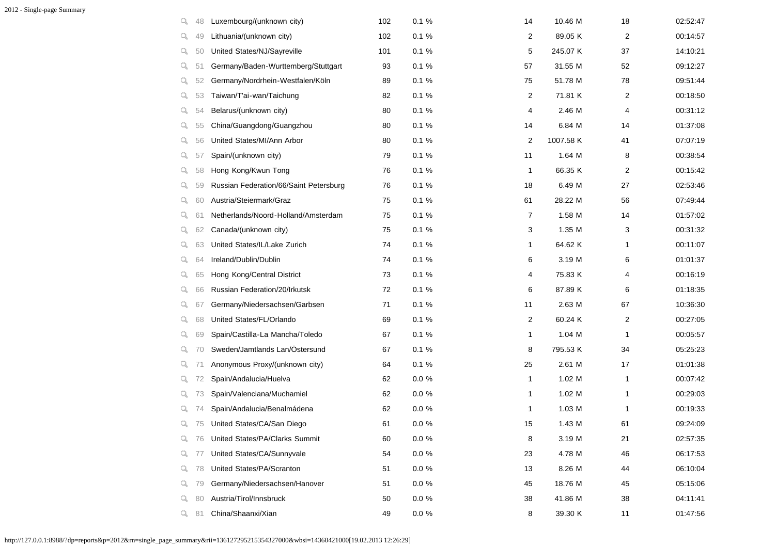2012 - Single-page Summary

| q, | 48 | Luxembourg/(unknown city)              | 102 | $0.1 \%$  | 14             | 10.46 M   | 18 | 02:52:47 |
|----|----|----------------------------------------|-----|-----------|----------------|-----------|----|----------|
| q. | 49 | Lithuania/(unknown city)               | 102 | 0.1%      | 2              | 89.05 K   | 2  | 00:14:57 |
| Q. | 50 | United States/NJ/Sayreville            | 101 | 0.1%      | 5              | 245.07 K  | 37 | 14:10:21 |
| Q. | 51 | Germany/Baden-Wurttemberg/Stuttgart    | 93  | 0.1%      | 57             | 31.55 M   | 52 | 09:12:27 |
| Q. | 52 | Germany/Nordrhein-Westfalen/Köln       | 89  | 0.1%      | 75             | 51.78 M   | 78 | 09:51:44 |
| q. | 53 | Taiwan/T'ai-wan/Taichung               | 82  | 0.1%      | $\overline{2}$ | 71.81 K   | 2  | 00:18:50 |
| Q. | 54 | Belarus/(unknown city)                 | 80  | 0.1%      | 4              | 2.46 M    | 4  | 00:31:12 |
| Q. | 55 | China/Guangdong/Guangzhou              | 80  | 0.1%      | 14             | 6.84 M    | 14 | 01:37:08 |
| q. | 56 | United States/MI/Ann Arbor             | 80  | 0.1%      | 2              | 1007.58 K | 41 | 07:07:19 |
| q. | 57 | Spain/(unknown city)                   | 79  | 0.1%      | 11             | 1.64 M    | 8  | 00:38:54 |
| Q. | 58 | Hong Kong/Kwun Tong                    | 76  | 0.1%      | 1              | 66.35 K   | 2  | 00:15:42 |
| Q. | 59 | Russian Federation/66/Saint Petersburg | 76  | 0.1%      | 18             | 6.49 M    | 27 | 02:53:46 |
| Q. | 60 | Austria/Steiermark/Graz                | 75  | 0.1%      | 61             | 28.22 M   | 56 | 07:49:44 |
| Q. | 61 | Netherlands/Noord-Holland/Amsterdam    | 75  | 0.1%      | $\overline{7}$ | 1.58 M    | 14 | 01:57:02 |
| ų. | 62 | Canada/(unknown city)                  | 75  | 0.1%      | 3              | 1.35 M    | 3  | 00:31:32 |
| Q. | 63 | United States/IL/Lake Zurich           | 74  | 0.1%      | 1              | 64.62 K   | 1  | 00:11:07 |
| Q. | 64 | Ireland/Dublin/Dublin                  | 74  | 0.1%      | 6              | 3.19 M    | 6  | 01:01:37 |
| Q. | 65 | Hong Kong/Central District             | 73  | 0.1%      | 4              | 75.83 K   | 4  | 00:16:19 |
| ч. | 66 | Russian Federation/20/Irkutsk          | 72  | 0.1%      | 6              | 87.89 K   | 6  | 01:18:35 |
| q. | 67 | Germany/Niedersachsen/Garbsen          | 71  | 0.1%      | 11             | 2.63 M    | 67 | 10:36:30 |
| Q. | 68 | United States/FL/Orlando               | 69  | 0.1%      | $\overline{2}$ | 60.24 K   | 2  | 00:27:05 |
| Q. | 69 | Spain/Castilla-La Mancha/Toledo        | 67  | 0.1%      | 1              | 1.04 M    | 1  | 00:05:57 |
| Q. | 70 | Sweden/Jamtlands Lan/Östersund         | 67  | 0.1%      | 8              | 795.53 K  | 34 | 05:25:23 |
| q. | 71 | Anonymous Proxy/(unknown city)         | 64  | 0.1%      | 25             | 2.61 M    | 17 | 01:01:38 |
| Q. | 72 | Spain/Andalucia/Huelva                 | 62  | $0.0 \%$  | 1              | 1.02 M    | 1  | 00:07:42 |
| q. | 73 | Spain/Valenciana/Muchamiel             | 62  | $0.0 \%$  | 1              | 1.02 M    | 1  | 00:29:03 |
| u, | 74 | Spain/Andalucia/Benalmádena            | 62  | $0.0 \%$  | 1              | 1.03 M    |    | 00:19:33 |
| q  | 75 | United States/CA/San Diego             | 61  | $0.0 \%$  | 15             | 1.43 M    | 61 | 09:24:09 |
| Q. | 76 | United States/PA/Clarks Summit         | 60  | $0.0\ \%$ | 8              | 3.19 M    | 21 | 02:57:35 |
| Q. | 77 | United States/CA/Sunnyvale             | 54  | $0.0 \%$  | 23             | 4.78 M    | 46 | 06:17:53 |
| Q. | 78 | United States/PA/Scranton              | 51  | $0.0 \%$  | 13             | 8.26 M    | 44 | 06:10:04 |
| Q. | 79 | Germany/Niedersachsen/Hanover          | 51  | $0.0\ \%$ | 45             | 18.76 M   | 45 | 05:15:06 |
| q. | 80 | Austria/Tirol/Innsbruck                | 50  | $0.0\ \%$ | 38             | 41.86 M   | 38 | 04:11:41 |
| Q. | 81 | China/Shaanxi/Xian                     | 49  | $0.0\ \%$ | 8              | 39.30 K   | 11 | 01:47:56 |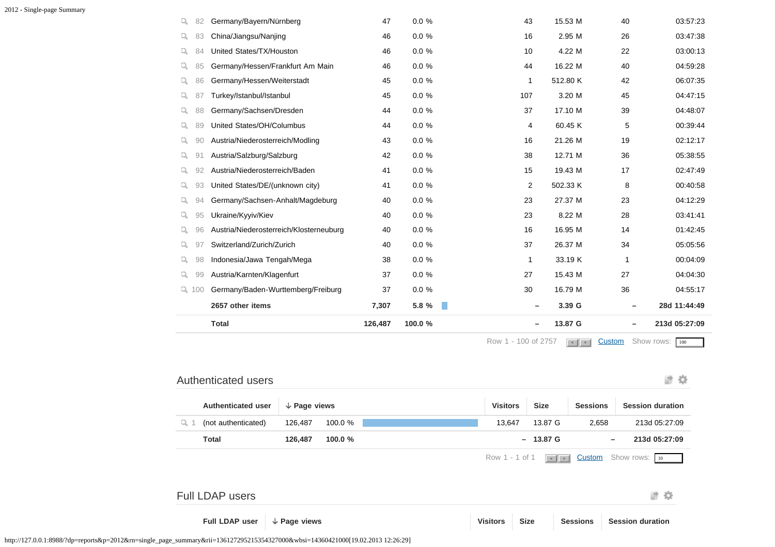|    |         | <b>Total</b>                            | 126,487 | 100.0%   |                             | 13.87 G<br>$\qquad \qquad$         | $\qquad \qquad$ | 213d 05:27:09 |
|----|---------|-----------------------------------------|---------|----------|-----------------------------|------------------------------------|-----------------|---------------|
|    |         | 2657 other items                        | 7,307   | 5.8 %    | $\mathcal{L}_{\mathcal{A}}$ | 3.39 G<br>$\overline{\phantom{m}}$ | -               | 28d 11:44:49  |
|    | $Q$ 100 | Germany/Baden-Wurttemberg/Freiburg      | 37      | $0.0 \%$ | 30                          | 16.79 M                            | 36              | 04:55:17      |
| Q. | 99      | Austria/Karnten/Klagenfurt              | 37      | 0.0%     | 27                          | 15.43 M                            | 27              | 04:04:30      |
| Q. | 98      | Indonesia/Jawa Tengah/Mega              | 38      | $0.0 \%$ | 1                           | 33.19 K                            | 1               | 00:04:09      |
| Q. | 97      | Switzerland/Zurich/Zurich               | 40      | $0.0 \%$ | 37                          | 26.37 M                            | 34              | 05:05:56      |
| Q. | 96      | Austria/Niederosterreich/Klosterneuburg | 40      | $0.0 \%$ | 16                          | 16.95 M                            | 14              | 01:42:45      |
| Q. | 95      | Ukraine/Kyyiv/Kiev                      | 40      | 0.0%     | 23                          | 8.22 M                             | 28              | 03:41:41      |
| Q. | 94      | Germany/Sachsen-Anhalt/Magdeburg        | 40      | $0.0 \%$ | 23                          | 27.37 M                            | 23              | 04:12:29      |
| Q. | 93      | United States/DE/(unknown city)         | 41      | $0.0 \%$ | 2                           | 502.33 K                           | 8               | 00:40:58      |
| Q. | 92      | Austria/Niederosterreich/Baden          | 41      | 0.0%     | 15                          | 19.43 M                            | 17              | 02:47:49      |
| Q. | 91      | Austria/Salzburg/Salzburg               | 42      | 0.0%     | 38                          | 12.71 M                            | 36              | 05:38:55      |
| Q. | 90      | Austria/Niederosterreich/Modling        | 43      | $0.0 \%$ | 16                          | 21.26 M                            | 19              | 02:12:17      |
| Q. | 89      | United States/OH/Columbus               | 44      | $0.0 \%$ | 4                           | 60.45 K                            | 5               | 00:39:44      |
| Q. | 88      | Germany/Sachsen/Dresden                 | 44      | 0.0%     | 37                          | 17.10 M                            | 39              | 04:48:07      |
| Q. | 87      | Turkey/Istanbul/Istanbul                | 45      | $0.0 \%$ | 107                         | 3.20 M                             | 45              | 04:47:15      |
| Q  | 86      | Germany/Hessen/Weiterstadt              | 45      | 0.0%     | 1                           | 512.80 K                           | 42              | 06:07:35      |
| Q. | 85      | Germany/Hessen/Frankfurt Am Main        | 46      | 0.0%     | 44                          | 16.22 M                            | 40              | 04:59:28      |
| Q. | 84      | United States/TX/Houston                | 46      | 0.0%     | 10                          | 4.22 M                             | 22              | 03:00:13      |
| Q. | 83      | China/Jiangsu/Nanjing                   | 46      | 0.0%     | 16                          | 2.95 M                             | 26              | 03:47:38      |
| Q. | 82      | Germany/Bayern/Nürnberg                 | 47      | 0.0 %    | 43                          | 15.53 M                            | 40              | 03:57:23      |

Row 1 - 100 of 2757 **4 5 [Custom](javascript:;)** Show rows: 100

波章

### Authenticated users

|     | <b>Authenticated user</b> | $\downarrow$ Page views |           | <b>Visitors</b> | <b>Size</b>        | <b>Sessions</b>          | <b>Session duration</b>                                |
|-----|---------------------------|-------------------------|-----------|-----------------|--------------------|--------------------------|--------------------------------------------------------|
| u 1 | (not authenticated)       | 126,487                 | 100.0 %   | 13,647          | 13.87 G            | 2,658                    | 213d 05:27:09                                          |
|     | <b>Total</b>              | 126,487                 | 100.0 $%$ |                 | $-13.87 \text{ G}$ | $\overline{\phantom{0}}$ | 213d 05:27:09                                          |
|     |                           |                         |           | Row 1 - 1 of 1  |                    |                          | $\leq$ $\leq$ <b>Custom</b> Show rows: $\frac{10}{10}$ |
|     |                           |                         |           |                 |                    |                          |                                                        |

### ■ 章 Full LDAP users **Full LDAP user Page views Visitors Size Sessions Session duration**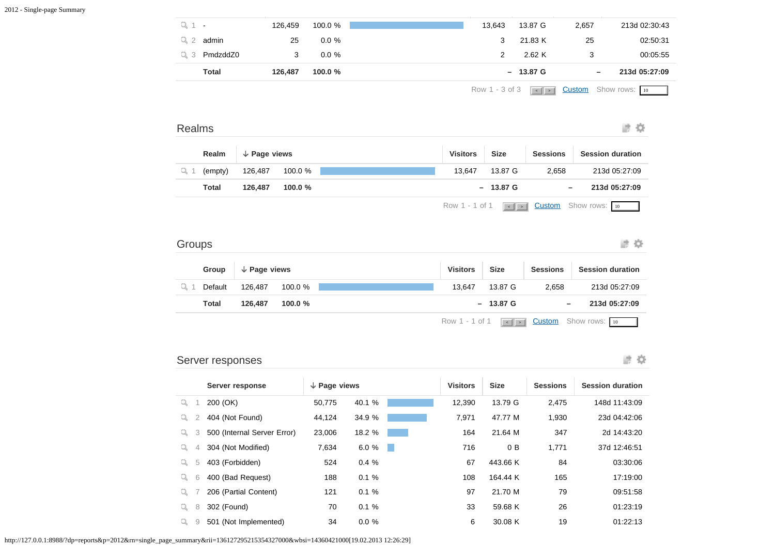|       |                |         |          |        |                    |       | Row 1 - 3 of 3 $\sqrt{\frac{1}{1} \cdot 1}$ Custom Show rows: $\frac{10}{10}$ |
|-------|----------------|---------|----------|--------|--------------------|-------|-------------------------------------------------------------------------------|
|       | <b>Total</b>   | 126,487 | 100.0 %  |        | $-13.87 \text{ G}$ |       | 213d 05:27:09                                                                 |
|       | $Q_3$ PmdzddZ0 |         | $0.0 \%$ | 2      | 2.62 K             |       | 00:05:55                                                                      |
|       | admin          | 25      | $0.0 \%$ | 3      | 21.83 K            | 25    | 02:50:31                                                                      |
| Q 1 - |                | 126,459 | 100.0 %  | 13,643 | 13.87 G            | 2,657 | 213d 02:30:43                                                                 |
|       |                |         |          |        |                    |       |                                                                               |

 $\sim$   $\sim$  100  $\sim$  100  $\sim$  100  $\sim$  100  $\sim$  100  $\sim$  100  $\sim$  100  $\sim$  100  $\sim$  100  $\sim$  100  $\sim$  100  $\sim$  100  $\sim$  100  $\sim$  100  $\sim$  100  $\sim$  100  $\sim$  100  $\sim$  100  $\sim$  100  $\sim$  100  $\sim$  100  $\sim$  100  $\sim$  100  $\sim$  100

| ≺ealms |
|--------|
|--------|

# **波草**

| Realm        | $\downarrow$ Page views |           | <b>Visitors</b> | <b>Size</b>        | <b>Sessions</b>              | <b>Session duration</b>                                                                                   |
|--------------|-------------------------|-----------|-----------------|--------------------|------------------------------|-----------------------------------------------------------------------------------------------------------|
| (empty)      | 126,487                 | 100.0 %   | 13.647          | 13.87 G            | 2,658                        | 213d 05:27:09                                                                                             |
| <b>Total</b> | 126.487                 | 100.0 $%$ |                 | $-13.87 \text{ G}$ | $\qquad \qquad \blacksquare$ | 213d 05:27:09                                                                                             |
|              |                         |           |                 |                    |                              | Row 1 - 1 of 1 $\sqrt{\frac{1}{1} \cdot \frac{1}{1} \cdot \frac{1}{1}}$ Custom Show rows: $\frac{10}{10}$ |

#### 波章 Groups

|    | Group   | $\downarrow$ Page views |           | <b>Visitors</b> | Size       | <b>Sessions</b>              | <b>Session duration</b>                                                                           |  |
|----|---------|-------------------------|-----------|-----------------|------------|------------------------------|---------------------------------------------------------------------------------------------------|--|
| ц1 | Default | 126.487                 | 100.0 %   | 13.647          | 13.87 G    | 2,658                        | 213d 05:27:09                                                                                     |  |
|    | Total   | 126.487                 | 100.0 $%$ |                 | $-13.87$ G | $\qquad \qquad \blacksquare$ | 213d 05:27:09                                                                                     |  |
|    |         |                         |           |                 |            |                              | Row 1 - 1 of 1 $\left  \cdot \right $ > $\left  \right $ Custom Show rows: $\left  \cdot \right $ |  |

#### Server responses

#### 进登

|    |   | Server response             | $\downarrow$ Page views |          |      | <b>Visitors</b> | <b>Size</b>    | <b>Sessions</b> | <b>Session duration</b> |
|----|---|-----------------------------|-------------------------|----------|------|-----------------|----------------|-----------------|-------------------------|
| Q  |   | 200 (OK)                    | 50.775                  | 40.1 %   |      | 12.390          | 13.79 G        | 2,475           | 148d 11:43:09           |
| q  | 2 | 404 (Not Found)             | 44,124                  | 34.9 %   |      | 7.971           | 47.77 M        | 1,930           | 23d 04:42:06            |
| q  | 3 | 500 (Internal Server Error) | 23,006                  | 18.2 %   |      | 164             | 21.64 M        | 347             | 2d 14:43:20             |
| Q, | 4 | 304 (Not Modified)          | 7,634                   | 6.0%     | a ka | 716             | 0 <sub>B</sub> | 1.771           | 37d 12:46:51            |
| q  | 5 | 403 (Forbidden)             | 524                     | 0.4%     |      | 67              | 443.66 K       | 84              | 03:30:06                |
| q  | 6 | 400 (Bad Request)           | 188                     | 0.1%     |      | 108             | 164.44 K       | 165             | 17:19:00                |
| q  |   | 206 (Partial Content)       | 121                     | 0.1%     |      | 97              | 21.70 M        | 79              | 09:51:58                |
| Q  | 8 | 302 (Found)                 | 70                      | 0.1%     |      | 33              | 59.68 K        | 26              | 01:23:19                |
|    | 9 | 501 (Not Implemented)       | 34                      | $0.0 \%$ |      | 6               | 30.08 K        | 19              | 01:22:13                |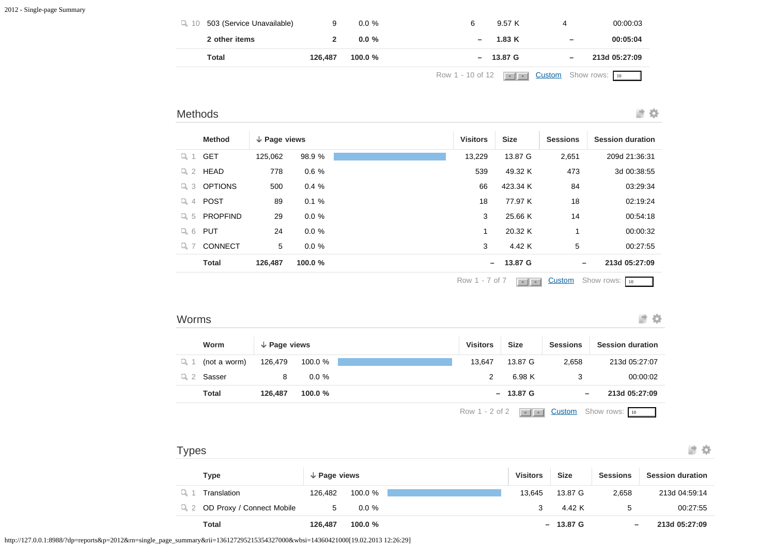| Total                                       | 126,487 | 100.0 $%$ | $-13.87 \text{ G}$ | -                        | 213d 05:27:09 |
|---------------------------------------------|---------|-----------|--------------------|--------------------------|---------------|
| 2 other items                               |         | $0.0 \%$  | 1.83K              | $\overline{\phantom{m}}$ | 00:05:04      |
| $Q_{\text{A}}$ 10 503 (Service Unavailable) |         | $0.0 \%$  | 9.57 K<br>6        |                          | 00:00:03      |

### Methods

波章

|                     | <b>Method</b>   | $\downarrow$ Page views |          | <b>Visitors</b> | <b>Size</b> | <b>Sessions</b> | <b>Session duration</b> |
|---------------------|-----------------|-------------------------|----------|-----------------|-------------|-----------------|-------------------------|
| Q <sub>1</sub>      | <b>GET</b>      | 125.062                 | 98.9 %   | 13.229          | 13.87 G     | 2,651           | 209d 21:36:31           |
| Q <sub>2</sub>      | <b>HEAD</b>     | 778                     | 0.6%     | 539             | 49.32 K     | 473             | 3d 00:38:55             |
| -3<br>Q.            | <b>OPTIONS</b>  | 500                     | 0.4%     | 66              | 423.34 K    | 84              | 03:29:34                |
| Q<br>$\overline{4}$ | <b>POST</b>     | 89                      | 0.1%     | 18              | 77.97 K     | 18              | 02:19:24                |
| $Q_{5}$             | <b>PROPFIND</b> | 29                      | $0.0 \%$ | 3               | 25.66 K     | 14              | 00:54:18                |
| $Q_6$               | <b>PUT</b>      | 24                      | $0.0 \%$ | 1               | 20.32 K     | 1               | 00:00:32                |
| Q 7                 | <b>CONNECT</b>  | 5                       | $0.0 \%$ | 3               | 4.42 K      | 5               | 00:27:55                |
|                     | <b>Total</b>    | 126,487                 | 100.0%   | $-$             | 13.87 G     | $\qquad \qquad$ | 213d 05:27:09           |
|                     |                 |                         |          |                 |             |                 |                         |

Row 1 - 7 of 7  $\sqrt{1 + 1}$  [Custom](javascript:;) Show rows: 10

#### Worms

进章

|     | Worm         | $\downarrow$ Page views |           | <b>Visitors</b> |                | <b>Size</b>           | <b>Sessions</b>          | <b>Session duration</b>     |
|-----|--------------|-------------------------|-----------|-----------------|----------------|-----------------------|--------------------------|-----------------------------|
| Q 1 | (not a worm) | 126.479                 | 100.0 %   |                 | 13.647         | 13.87 G               | 2,658                    | 213d 05:27:07               |
| Q 2 | Sasser       | 8                       | $0.0 \%$  |                 |                | 6.98 K                |                          | 00:00:02                    |
|     | <b>Total</b> | 126.487                 | 100.0 $%$ |                 |                | $-13.87 \text{ G}$    | $\overline{\phantom{m}}$ | 213d 05:27:09               |
|     |              |                         |           |                 | Row 1 - 2 of 2 | $\vert \cdot \vert$ > |                          | <b>Custom</b> Show rows: 10 |

| Types                                       |                      |           |                 |             |                          | 誰め                      |
|---------------------------------------------|----------------------|-----------|-----------------|-------------|--------------------------|-------------------------|
| Type                                        | $\sqrt{}$ Page views |           | <b>Visitors</b> | <b>Size</b> | <b>Sessions</b>          | <b>Session duration</b> |
| Translation                                 | 126,482              | 100.0 $%$ | 13.645          | 13.87 G     | 2,658                    | 213d 04:59:14           |
| OD Proxy / Connect Mobile<br>Q <sub>2</sub> | 5                    | $0.0 \%$  | 3               | 4.42 K      | 5                        | 00:27:55                |
| Total                                       | 126,487              | 100.0 $%$ |                 | $-13.87$ G  | $\overline{\phantom{0}}$ | 213d 05:27:09           |

http://127.0.0.1:8988/?dp=reports&p=2012&rn=single\_page\_summary&rii=136127295215354327000&wbsi=14360421000[19.02.2013 12:26:29]

¥,